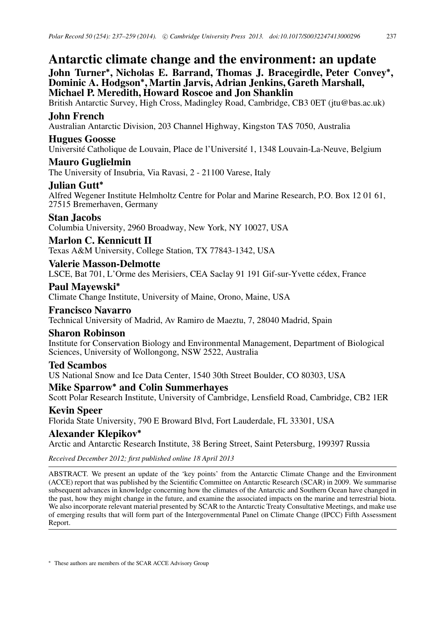# **Antarctic climate change and the environment: an update**

**John Turner∗, Nicholas E. Barrand, Thomas J. Bracegirdle, Peter Convey<sup>∗</sup> , Dominic A. Hodgson∗, Martin Jarvis, Adrian Jenkins, Gareth Marshall, Michael P. Meredith, Howard Roscoe and Jon Shanklin**

British Antarctic Survey, High Cross, Madingley Road, Cambridge, CB3 0ET (jtu@bas.ac.uk)

# **John French**

Australian Antarctic Division, 203 Channel Highway, Kingston TAS 7050, Australia

# **Hugues Goosse**

Université Catholique de Louvain, Place de l'Université 1, 1348 Louvain-La-Neuve, Belgium

# **Mauro Guglielmin**

The University of Insubria, Via Ravasi, 2 - 21100 Varese, Italy

# **Julian Gutt<sup>∗</sup>**

Alfred Wegener Institute Helmholtz Centre for Polar and Marine Research, P.O. Box 12 01 61, 27515 Bremerhaven, Germany

# **Stan Jacobs**

Columbia University, 2960 Broadway, New York, NY 10027, USA

# **Marlon C. Kennicutt II**

Texas A&M University, College Station, TX 77843-1342, USA

# **Valerie Masson-Delmotte**

LSCE, Bat 701, L'Orme des Merisiers, CEA Saclay 91 191 Gif-sur-Yvette cédex, France

# **Paul Mayewski<sup>∗</sup>**

Climate Change Institute, University of Maine, Orono, Maine, USA

# **Francisco Navarro**

Technical University of Madrid, Av Ramiro de Maeztu, 7, 28040 Madrid, Spain

# **Sharon Robinson**

Institute for Conservation Biology and Environmental Management, Department of Biological Sciences, University of Wollongong, NSW 2522, Australia

# **Ted Scambos**

US National Snow and Ice Data Center, 1540 30th Street Boulder, CO 80303, USA

# **Mike Sparrow<sup>∗</sup> and Colin Summerhayes**

Scott Polar Research Institute, University of Cambridge, Lensfield Road, Cambridge, CB2 1ER

# **Kevin Speer**

Florida State University, 790 E Broward Blvd, Fort Lauderdale, FL 33301, USA

# **Alexander Klepikov∗**

Arctic and Antarctic Research Institute, 38 Bering Street, Saint Petersburg, 199397 Russia

*Received December 2012; first published online 18 April 2013*

ABSTRACT. We present an update of the 'key points' from the Antarctic Climate Change and the Environment (ACCE) report that was published by the Scientific Committee on Antarctic Research (SCAR) in 2009. We summarise subsequent advances in knowledge concerning how the climates of the Antarctic and Southern Ocean have changed in the past, how they might change in the future, and examine the associated impacts on the marine and terrestrial biota. We also incorporate relevant material presented by SCAR to the Antarctic Treaty Consultative Meetings, and make use of emerging results that will form part of the Intergovernmental Panel on Climate Change (IPCC) Fifth Assessment Report.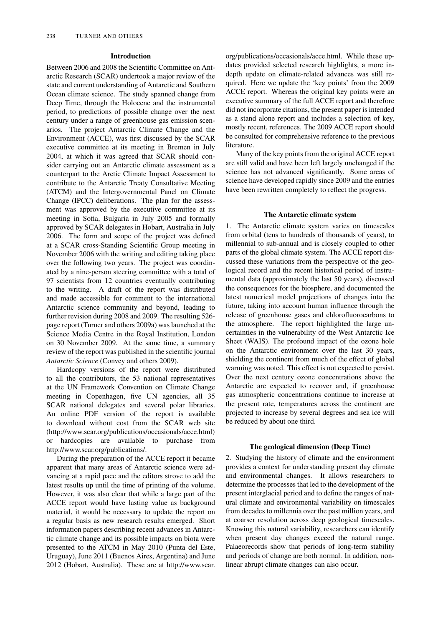#### **Introduction**

Between 2006 and 2008 the Scientific Committee on Antarctic Research (SCAR) undertook a major review of the state and current understanding of Antarctic and Southern Ocean climate science. The study spanned change from Deep Time, through the Holocene and the instrumental period, to predictions of possible change over the next century under a range of greenhouse gas emission scenarios. The project Antarctic Climate Change and the Environment (ACCE), was first discussed by the SCAR executive committee at its meeting in Bremen in July 2004, at which it was agreed that SCAR should consider carrying out an Antarctic climate assessment as a counterpart to the Arctic Climate Impact Assessment to contribute to the Antarctic Treaty Consultative Meeting (ATCM) and the Intergovernmental Panel on Climate Change (IPCC) deliberations. The plan for the assessment was approved by the executive committee at its meeting in Sofia, Bulgaria in July 2005 and formally approved by SCAR delegates in Hobart, Australia in July 2006. The form and scope of the project was defined at a SCAR cross-Standing Scientific Group meeting in November 2006 with the writing and editing taking place over the following two years. The project was coordinated by a nine-person steering committee with a total of 97 scientists from 12 countries eventually contributing to the writing. A draft of the report was distributed and made accessible for comment to the international Antarctic science community and beyond, leading to further revision during 2008 and 2009. The resulting 526 page report (Turner and others 2009a) was launched at the Science Media Centre in the Royal Institution, London on 30 November 2009. At the same time, a summary review of the report was published in the scientific journal *Antarctic Science* (Convey and others 2009).

Hardcopy versions of the report were distributed to all the contributors, the 53 national representatives at the UN Framework Convention on Climate Change meeting in Copenhagen, five UN agencies, all 35 SCAR national delegates and several polar libraries. An online PDF version of the report is available to download without cost from the SCAR web site (http://www.scar.org/publications/occasionals/acce.html) or hardcopies are available to purchase from http://www.scar.org/publications/.

During the preparation of the ACCE report it became apparent that many areas of Antarctic science were advancing at a rapid pace and the editors strove to add the latest results up until the time of printing of the volume. However, it was also clear that while a large part of the ACCE report would have lasting value as background material, it would be necessary to update the report on a regular basis as new research results emerged. Short information papers describing recent advances in Antarctic climate change and its possible impacts on biota were presented to the ATCM in May 2010 (Punta del Este, Uruguay), June 2011 (Buenos Aires, Argentina) and June 2012 (Hobart, Australia). These are at http://www.scar.

org/publications/occasionals/acce.html. While these updates provided selected research highlights, a more indepth update on climate-related advances was still required. Here we update the 'key points' from the 2009 ACCE report. Whereas the original key points were an executive summary of the full ACCE report and therefore did not incorporate citations, the present paper is intended as a stand alone report and includes a selection of key, mostly recent, references. The 2009 ACCE report should be consulted for comprehensive reference to the previous literature.

Many of the key points from the original ACCE report are still valid and have been left largely unchanged if the science has not advanced significantly. Some areas of science have developed rapidly since 2009 and the entries have been rewritten completely to reflect the progress.

### **The Antarctic climate system**

1. The Antarctic climate system varies on timescales from orbital (tens to hundreds of thousands of years), to millennial to sub-annual and is closely coupled to other parts of the global climate system. The ACCE report discussed these variations from the perspective of the geological record and the recent historical period of instrumental data (approximately the last 50 years), discussed the consequences for the biosphere, and documented the latest numerical model projections of changes into the future, taking into account human influence through the release of greenhouse gases and chlorofluorocarbons to the atmosphere. The report highlighted the large uncertainties in the vulnerability of the West Antarctic Ice Sheet (WAIS). The profound impact of the ozone hole on the Antarctic environment over the last 30 years, shielding the continent from much of the effect of global warming was noted. This effect is not expected to persist. Over the next century ozone concentrations above the Antarctic are expected to recover and, if greenhouse gas atmospheric concentrations continue to increase at the present rate, temperatures across the continent are projected to increase by several degrees and sea ice will be reduced by about one third.

### **The geological dimension (Deep Time)**

2. Studying the history of climate and the environment provides a context for understanding present day climate and environmental changes. It allows researchers to determine the processes that led to the development of the present interglacial period and to define the ranges of natural climate and environmental variability on timescales from decades to millennia over the past million years, and at coarser resolution across deep geological timescales. Knowing this natural variability, researchers can identify when present day changes exceed the natural range. Palaeorecords show that periods of long-term stability and periods of change are both normal. In addition, nonlinear abrupt climate changes can also occur.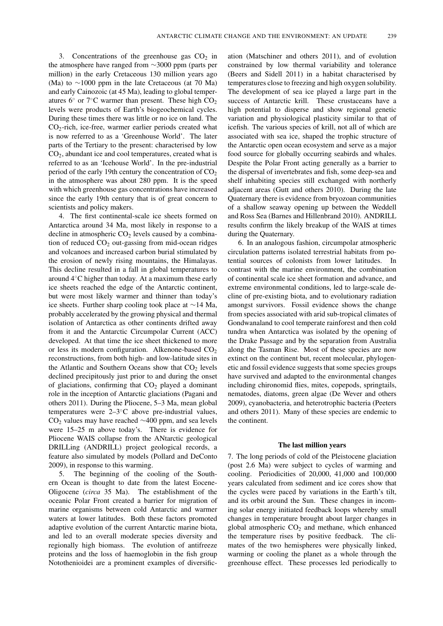3. Concentrations of the greenhouse gas  $CO<sub>2</sub>$  in the atmosphere have ranged from ∼3000 ppm (parts per million) in the early Cretaceous 130 million years ago (Ma) to ∼1000 ppm in the late Cretaceous (at 70 Ma) and early Cainozoic (at 45 Ma), leading to global temperatures  $6°$  or  $7°C$  warmer than present. These high  $CO<sub>2</sub>$ levels were products of Earth's biogeochemical cycles. During these times there was little or no ice on land. The CO2-rich, ice-free, warmer earlier periods created what is now referred to as a 'Greenhouse World'. The later parts of the Tertiary to the present: characterised by low  $CO<sub>2</sub>$ , abundant ice and cool temperatures, created what is referred to as an 'Icehouse World'. In the pre-industrial period of the early 19th century the concentration of  $CO<sub>2</sub>$ in the atmosphere was about 280 ppm. It is the speed with which greenhouse gas concentrations have increased since the early 19th century that is of great concern to scientists and policy makers.

4. The first continental-scale ice sheets formed on Antarctica around 34 Ma, most likely in response to a decline in atmospheric  $CO<sub>2</sub>$  levels caused by a combination of reduced  $CO<sub>2</sub>$  out-gassing from mid-ocean ridges and volcanoes and increased carbon burial stimulated by the erosion of newly rising mountains, the Himalayas. This decline resulted in a fall in global temperatures to around 4◦C higher than today. At a maximum these early ice sheets reached the edge of the Antarctic continent, but were most likely warmer and thinner than today's ice sheets. Further sharp cooling took place at ∼14 Ma, probably accelerated by the growing physical and thermal isolation of Antarctica as other continents drifted away from it and the Antarctic Circumpolar Current (ACC) developed. At that time the ice sheet thickened to more or less its modern configuration. Alkenone-based  $CO<sub>2</sub>$ reconstructions, from both high- and low-latitude sites in the Atlantic and Southern Oceans show that  $CO<sub>2</sub>$  levels declined precipitously just prior to and during the onset of glaciations, confirming that  $CO<sub>2</sub>$  played a dominant role in the inception of Antarctic glaciations (Pagani and others 2011). During the Pliocene, 5–3 Ma, mean global temperatures were 2–3◦C above pre-industrial values,  $CO<sub>2</sub>$  values may have reached  $\sim$ 400 ppm, and sea levels were 15–25 m above today's. There is evidence for Pliocene WAIS collapse from the ANtarctic geological DRILLing (ANDRILL) project geological records, a feature also simulated by models (Pollard and DeConto 2009), in response to this warming.

5. The beginning of the cooling of the Southern Ocean is thought to date from the latest Eocene-Oligocene (*circa* 35 Ma). The establishment of the oceanic Polar Front created a barrier for migration of marine organisms between cold Antarctic and warmer waters at lower latitudes. Both these factors promoted adaptive evolution of the current Antarctic marine biota, and led to an overall moderate species diversity and regionally high biomass. The evolution of antifreeze proteins and the loss of haemoglobin in the fish group Notothenioidei are a prominent examples of diversification (Matschiner and others 2011), and of evolution constrained by low thermal variability and tolerance (Beers and Sidell 2011) in a habitat characterised by temperatures close to freezing and high oxygen solubility. The development of sea ice played a large part in the success of Antarctic krill. These crustaceans have a high potential to disperse and show regional genetic variation and physiological plasticity similar to that of icefish. The various species of krill, not all of which are associated with sea ice, shaped the trophic structure of the Antarctic open ocean ecosystem and serve as a major food source for globally occurring seabirds and whales. Despite the Polar Front acting generally as a barrier to the dispersal of invertebrates and fish, some deep-sea and shelf inhabiting species still exchanged with northerly adjacent areas (Gutt and others 2010). During the late Quaternary there is evidence from bryozoan communities of a shallow seaway opening up between the Weddell and Ross Sea (Barnes and Hillenbrand 2010). ANDRILL results confirm the likely breakup of the WAIS at times during the Quaternary.

6. In an analogous fashion, circumpolar atmospheric circulation patterns isolated terrestrial habitats from potential sources of colonists from lower latitudes. In contrast with the marine environment, the combination of continental scale ice sheet formation and advance, and extreme environmental conditions, led to large-scale decline of pre-existing biota, and to evolutionary radiation amongst survivors. Fossil evidence shows the change from species associated with arid sub-tropical climates of Gondwanaland to cool temperate rainforest and then cold tundra when Antarctica was isolated by the opening of the Drake Passage and by the separation from Australia along the Tasman Rise. Most of these species are now extinct on the continent but, recent molecular, phylogenetic and fossil evidence suggests that some species groups have survived and adapted to the environmental changes including chironomid flies, mites, copepods, springtails, nematodes, diatoms, green algae (De Wever and others 2009), cyanobacteria, and heterotrophic bacteria (Peeters and others 2011). Many of these species are endemic to the continent.

#### **The last million years**

7. The long periods of cold of the Pleistocene glaciation (post 2.6 Ma) were subject to cycles of warming and cooling. Periodicities of 20,000, 41,000 and 100,000 years calculated from sediment and ice cores show that the cycles were paced by variations in the Earth's tilt, and its orbit around the Sun. These changes in incoming solar energy initiated feedback loops whereby small changes in temperature brought about larger changes in global atmospheric  $CO<sub>2</sub>$  and methane, which enhanced the temperature rises by positive feedback. The climates of the two hemispheres were physically linked, warming or cooling the planet as a whole through the greenhouse effect. These processes led periodically to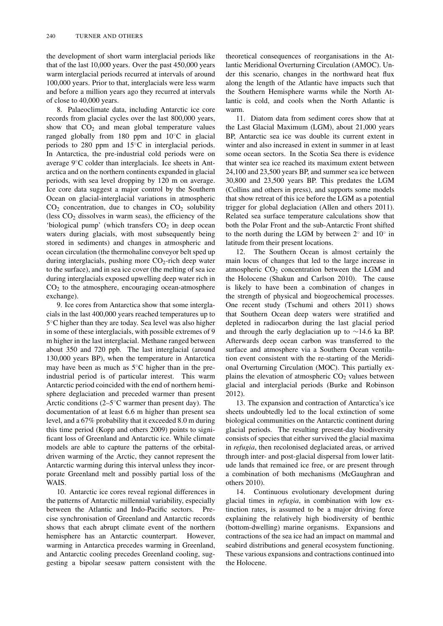the development of short warm interglacial periods like that of the last 10,000 years. Over the past 450,000 years warm interglacial periods recurred at intervals of around 100,000 years. Prior to that, interglacials were less warm and before a million years ago they recurred at intervals of close to 40,000 years.

8. Palaeoclimate data, including Antarctic ice core records from glacial cycles over the last 800,000 years, show that  $CO<sub>2</sub>$  and mean global temperature values ranged globally from 180 ppm and 10◦C in glacial periods to 280 ppm and 15◦C in interglacial periods. In Antarctica, the pre-industrial cold periods were on average 9◦C colder than interglacials. Ice sheets in Antarctica and on the northern continents expanded in glacial periods, with sea level dropping by 120 m on average. Ice core data suggest a major control by the Southern Ocean on glacial-interglacial variations in atmospheric  $CO<sub>2</sub>$  concentration, due to changes in  $CO<sub>2</sub>$  solubility (less  $CO<sub>2</sub>$  dissolves in warm seas), the efficiency of the 'biological pump' (which transfers  $CO<sub>2</sub>$  in deep ocean waters during glacials, with most subsequently being stored in sediments) and changes in atmospheric and ocean circulation (the thermohaline conveyor belt sped up during interglacials, pushing more  $CO<sub>2</sub>$ -rich deep water to the surface), and in sea ice cover (the melting of sea ice during interglacials exposed upwelling deep water rich in  $CO<sub>2</sub>$  to the atmosphere, encouraging ocean-atmosphere exchange).

9. Ice cores from Antarctica show that some interglacials in the last 400,000 years reached temperatures up to 5 °C higher than they are today. Sea level was also higher in some of these interglacials, with possible extremes of 9 m higher in the last interglacial. Methane ranged between about 350 and 720 ppb. The last interglacial (around 130,000 years BP), when the temperature in Antarctica may have been as much as 5◦C higher than in the preindustrial period is of particular interest. This warm Antarctic period coincided with the end of northern hemisphere deglaciation and preceded warmer than present Arctic conditions ( $2-5\degree$ C warmer than present day). The documentation of at least 6.6 m higher than present sea level, and a 67% probability that it exceeded 8.0 m during this time period (Kopp and others 2009) points to significant loss of Greenland and Antarctic ice. While climate models are able to capture the patterns of the orbitaldriven warming of the Arctic, they cannot represent the Antarctic warming during this interval unless they incorporate Greenland melt and possibly partial loss of the WAIS.

10. Antarctic ice cores reveal regional differences in the patterns of Antarctic millennial variability, especially between the Atlantic and Indo-Pacific sectors. Precise synchronisation of Greenland and Antarctic records shows that each abrupt climate event of the northern hemisphere has an Antarctic counterpart. However, warming in Antarctica precedes warming in Greenland, and Antarctic cooling precedes Greenland cooling, suggesting a bipolar seesaw pattern consistent with the

theoretical consequences of reorganisations in the Atlantic Meridional Overturning Circulation (AMOC). Under this scenario, changes in the northward heat flux along the length of the Atlantic have impacts such that the Southern Hemisphere warms while the North Atlantic is cold, and cools when the North Atlantic is warm.

11. Diatom data from sediment cores show that at the Last Glacial Maximum (LGM), about 21,000 years BP, Antarctic sea ice was double its current extent in winter and also increased in extent in summer in at least some ocean sectors. In the Scotia Sea there is evidence that winter sea ice reached its maximum extent between 24,100 and 23,500 years BP, and summer sea ice between 30,800 and 23,500 years BP. This predates the LGM (Collins and others in press), and supports some models that show retreat of this ice before the LGM as a potential trigger for global deglaciation (Allen and others 2011). Related sea surface temperature calculations show that both the Polar Front and the sub-Antarctic Front shifted to the north during the LGM by between  $2°$  and  $10°$  in latitude from their present locations.

12. The Southern Ocean is almost certainly the main locus of changes that led to the large increase in atmospheric  $CO<sub>2</sub>$  concentration between the LGM and the Holocene (Shakun and Carlson 2010). The cause is likely to have been a combination of changes in the strength of physical and biogeochemical processes. One recent study (Tschumi and others 2011) shows that Southern Ocean deep waters were stratified and depleted in radiocarbon during the last glacial period and through the early deglaciation up to ∼14.6 ka BP. Afterwards deep ocean carbon was transferred to the surface and atmosphere via a Southern Ocean ventilation event consistent with the re-starting of the Meridional Overturning Circulation (MOC). This partially explains the elevation of atmospheric  $CO<sub>2</sub>$  values between glacial and interglacial periods (Burke and Robinson 2012).

13. The expansion and contraction of Antarctica's ice sheets undoubtedly led to the local extinction of some biological communities on the Antarctic continent during glacial periods. The resulting present-day biodiversity consists of species that either survived the glacial maxima in *refugia*, then recolonised deglaciated areas, or arrived through inter- and post-glacial dispersal from lower latitude lands that remained ice free, or are present through a combination of both mechanisms (McGaughran and others 2010).

14. Continuous evolutionary development during glacial times in *refugia*, in combination with low extinction rates, is assumed to be a major driving force explaining the relatively high biodiversity of benthic (bottom-dwelling) marine organisms. Expansions and contractions of the sea ice had an impact on mammal and seabird distributions and general ecosystem functioning. These various expansions and contractions continued into the Holocene.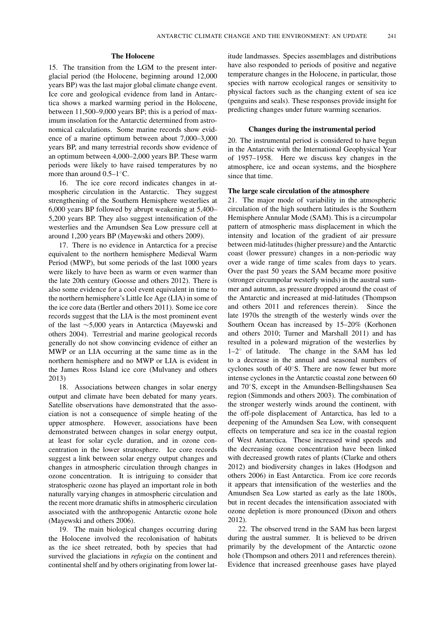### **The Holocene**

15. The transition from the LGM to the present interglacial period (the Holocene, beginning around 12,000 years BP) was the last major global climate change event. Ice core and geological evidence from land in Antarctica shows a marked warming period in the Holocene, between 11,500–9,000 years BP; this is a period of maximum insolation for the Antarctic determined from astronomical calculations. Some marine records show evidence of a marine optimum between about 7,000–3,000 years BP, and many terrestrial records show evidence of an optimum between 4,000–2,000 years BP. These warm periods were likely to have raised temperatures by no more than around 0.5–1◦C.

16. The ice core record indicates changes in atmospheric circulation in the Antarctic. They suggest strengthening of the Southern Hemisphere westerlies at 6,000 years BP followed by abrupt weakening at 5,400– 5,200 years BP. They also suggest intensification of the westerlies and the Amundsen Sea Low pressure cell at around 1,200 years BP (Mayewski and others 2009).

17. There is no evidence in Antarctica for a precise equivalent to the northern hemisphere Medieval Warm Period (MWP), but some periods of the last 1000 years were likely to have been as warm or even warmer than the late 20th century (Goosse and others 2012). There is also some evidence for a cool event equivalent in time to the northern hemisphere's Little Ice Age (LIA) in some of the ice core data (Bertler and others 2011). Some ice core records suggest that the LIA is the most prominent event of the last ∼5,000 years in Antarctica (Mayewski and others 2004). Terrestrial and marine geological records generally do not show convincing evidence of either an MWP or an LIA occurring at the same time as in the northern hemisphere and no MWP or LIA is evident in the James Ross Island ice core (Mulvaney and others 2013)

18. Associations between changes in solar energy output and climate have been debated for many years. Satellite observations have demonstrated that the association is not a consequence of simple heating of the upper atmosphere. However, associations have been demonstrated between changes in solar energy output, at least for solar cycle duration, and in ozone concentration in the lower stratosphere. Ice core records suggest a link between solar energy output changes and changes in atmospheric circulation through changes in ozone concentration. It is intriguing to consider that stratospheric ozone has played an important role in both naturally varying changes in atmospheric circulation and the recent more dramatic shifts in atmospheric circulation associated with the anthropogenic Antarctic ozone hole (Mayewski and others 2006).

19. The main biological changes occurring during the Holocene involved the recolonisation of habitats as the ice sheet retreated, both by species that had survived the glaciations in *refugia* on the continent and continental shelf and by others originating from lower latitude landmasses. Species assemblages and distributions have also responded to periods of positive and negative temperature changes in the Holocene, in particular, those species with narrow ecological ranges or sensitivity to physical factors such as the changing extent of sea ice (penguins and seals). These responses provide insight for predicting changes under future warming scenarios.

### **Changes during the instrumental period**

20. The instrumental period is considered to have begun in the Antarctic with the International Geophysical Year of 1957–1958. Here we discuss key changes in the atmosphere, ice and ocean systems, and the biosphere since that time.

# **The large scale circulation of the atmosphere**

21. The major mode of variability in the atmospheric circulation of the high southern latitudes is the Southern Hemisphere Annular Mode (SAM). This is a circumpolar pattern of atmospheric mass displacement in which the intensity and location of the gradient of air pressure between mid-latitudes (higher pressure) and the Antarctic coast (lower pressure) changes in a non-periodic way over a wide range of time scales from days to years. Over the past 50 years the SAM became more positive (stronger circumpolar westerly winds) in the austral summer and autumn, as pressure dropped around the coast of the Antarctic and increased at mid-latitudes (Thompson and others 2011 and references therein). Since the late 1970s the strength of the westerly winds over the Southern Ocean has increased by 15–20% (Korhonen and others 2010; Turner and Marshall 2011) and has resulted in a poleward migration of the westerlies by 1–2◦ of latitude. The change in the SAM has led to a decrease in the annual and seasonal numbers of cyclones south of 40◦S. There are now fewer but more intense cyclones in the Antarctic coastal zone between 60 and 70◦S, except in the Amundsen-Bellingshausen Sea region (Simmonds and others 2003). The combination of the stronger westerly winds around the continent, with the off-pole displacement of Antarctica, has led to a deepening of the Amundsen Sea Low, with consequent effects on temperature and sea ice in the coastal region of West Antarctica. These increased wind speeds and the decreasing ozone concentration have been linked with decreased growth rates of plants (Clarke and others 2012) and biodiversity changes in lakes (Hodgson and others 2006) in East Antarctica. From ice core records it appears that intensification of the westerlies and the Amundsen Sea Low started as early as the late 1800s, but in recent decades the intensification associated with ozone depletion is more pronounced (Dixon and others 2012).

22. The observed trend in the SAM has been largest during the austral summer. It is believed to be driven primarily by the development of the Antarctic ozone hole (Thompson and others 2011 and references therein). Evidence that increased greenhouse gases have played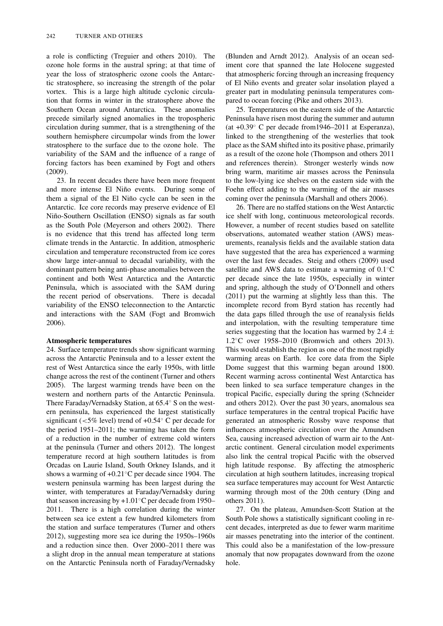a role is conflicting (Treguier and others 2010). The ozone hole forms in the austral spring; at that time of year the loss of stratospheric ozone cools the Antarctic stratosphere, so increasing the strength of the polar vortex. This is a large high altitude cyclonic circulation that forms in winter in the stratosphere above the Southern Ocean around Antarctica. These anomalies precede similarly signed anomalies in the tropospheric circulation during summer, that is a strengthening of the southern hemisphere circumpolar winds from the lower stratosphere to the surface due to the ozone hole. The variability of the SAM and the influence of a range of forcing factors has been examined by Fogt and others (2009).

23. In recent decades there have been more frequent and more intense El Niño events. During some of them a signal of the El Niño cycle can be seen in the Antarctic. Ice core records may preserve evidence of El Niño-Southern Oscillation (ENSO) signals as far south as the South Pole (Meyerson and others 2002). There is no evidence that this trend has affected long term climate trends in the Antarctic. In addition, atmospheric circulation and temperature reconstructed from ice cores show large inter-annual to decadal variability, with the dominant pattern being anti-phase anomalies between the continent and both West Antarctica and the Antarctic Peninsula, which is associated with the SAM during the recent period of observations. There is decadal variability of the ENSO teleconnection to the Antarctic and interactions with the SAM (Fogt and Bromwich 2006).

#### **Atmospheric temperatures**

24. Surface temperature trends show significant warming across the Antarctic Peninsula and to a lesser extent the rest of West Antarctica since the early 1950s, with little change across the rest of the continent (Turner and others 2005). The largest warming trends have been on the western and northern parts of the Antarctic Peninsula. There Faraday/Vernadsky Station, at 65.4◦ S on the western peninsula, has experienced the largest statistically significant (*<*5% level) trend of +0.54◦ C per decade for the period 1951–2011; the warming has taken the form of a reduction in the number of extreme cold winters at the peninsula (Turner and others 2012). The longest temperature record at high southern latitudes is from Orcadas on Laurie Island, South Orkney Islands, and it shows a warming of +0.21◦C per decade since 1904. The western peninsula warming has been largest during the winter, with temperatures at Faraday/Vernadsky during that season increasing by  $+1.01°C$  per decade from 1950– 2011. There is a high correlation during the winter between sea ice extent a few hundred kilometers from the station and surface temperatures (Turner and others 2012), suggesting more sea ice during the 1950s–1960s and a reduction since then. Over 2000–2011 there was a slight drop in the annual mean temperature at stations on the Antarctic Peninsula north of Faraday/Vernadsky

(Blunden and Arndt 2012). Analysis of an ocean sediment core that spanned the late Holocene suggested that atmospheric forcing through an increasing frequency of El Niño events and greater solar insolation played a greater part in modulating peninsula temperatures compared to ocean forcing (Pike and others 2013).

25. Temperatures on the eastern side of the Antarctic Peninsula have risen most during the summer and autumn (at  $+0.39°$  C per decade from 1946–2011 at Esperanza), linked to the strengthening of the westerlies that took place as the SAM shifted into its positive phase, primarily as a result of the ozone hole (Thompson and others 2011 and references therein). Stronger westerly winds now bring warm, maritime air masses across the Peninsula to the low-lying ice shelves on the eastern side with the Foehn effect adding to the warming of the air masses coming over the peninsula (Marshall and others 2006).

26. There are no staffed stations on the West Antarctic ice shelf with long, continuous meteorological records. However, a number of recent studies based on satellite observations, automated weather station (AWS) measurements, reanalysis fields and the available station data have suggested that the area has experienced a warming over the last few decades. Steig and others (2009) used satellite and AWS data to estimate a warming of 0.1◦C per decade since the late 1950s, especially in winter and spring, although the study of O'Donnell and others (2011) put the warming at slightly less than this. The incomplete record from Byrd station has recently had the data gaps filled through the use of reanalysis fields and interpolation, with the resulting temperature time series suggesting that the location has warmed by 2.4  $\pm$ 1.2◦C over 1958–2010 (Bromwich and others 2013). This would establish the region as one of the most rapidly warming areas on Earth. Ice core data from the Siple Dome suggest that this warming began around 1800. Recent warming across continental West Antarctica has been linked to sea surface temperature changes in the tropical Pacific, especially during the spring (Schneider and others 2012). Over the past 30 years, anomalous sea surface temperatures in the central tropical Pacific have generated an atmospheric Rossby wave response that influences atmospheric circulation over the Amundsen Sea, causing increased advection of warm air to the Antarctic continent. General circulation model experiments also link the central tropical Pacific with the observed high latitude response. By affecting the atmospheric circulation at high southern latitudes, increasing tropical sea surface temperatures may account for West Antarctic warming through most of the 20th century (Ding and others 2011).

27. On the plateau, Amundsen-Scott Station at the South Pole shows a statistically significant cooling in recent decades, interpreted as due to fewer warm maritime air masses penetrating into the interior of the continent. This could also be a manifestation of the low-pressure anomaly that now propagates downward from the ozone hole.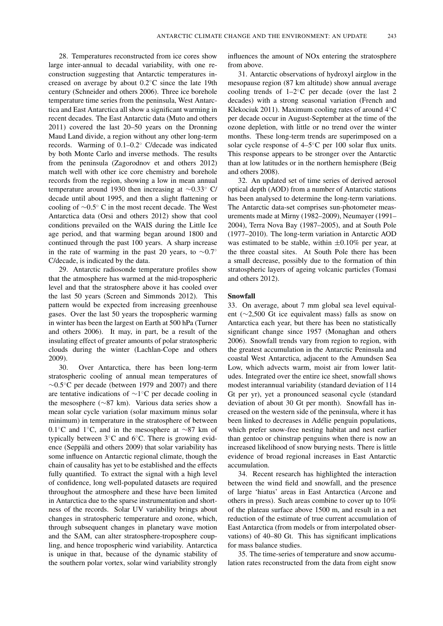28. Temperatures reconstructed from ice cores show large inter-annual to decadal variability, with one reconstruction suggesting that Antarctic temperatures increased on average by about 0.2◦C since the late 19th century (Schneider and others 2006). Three ice borehole temperature time series from the peninsula, West Antarctica and East Antarctica all show a significant warming in recent decades. The East Antarctic data (Muto and others 2011) covered the last 20–50 years on the Dronning Maud Land divide, a region without any other long-term records. Warming of 0.1–0.2◦ C/decade was indicated by both Monte Carlo and inverse methods. The results from the peninsula (Zagorodnov et and others 2012) match well with other ice core chemistry and borehole records from the region, showing a low in mean annual temperature around 1930 then increasing at ∼0.33◦ C/ decade until about 1995, and then a slight flattening or cooling of ∼0.5◦ C in the most recent decade. The West Antarctica data (Orsi and others 2012) show that cool conditions prevailed on the WAIS during the Little Ice age period, and that warming began around 1800 and continued through the past 100 years. A sharp increase in the rate of warming in the past 20 years, to ∼0.7◦ C/decade, is indicated by the data.

29. Antarctic radiosonde temperature profiles show that the atmosphere has warmed at the mid-tropospheric level and that the stratosphere above it has cooled over the last 50 years (Screen and Simmonds 2012). This pattern would be expected from increasing greenhouse gases. Over the last 50 years the tropospheric warming in winter has been the largest on Earth at 500 hPa (Turner and others 2006). It may, in part, be a result of the insulating effect of greater amounts of polar stratospheric clouds during the winter (Lachlan-Cope and others 2009).

30. Over Antarctica, there has been long-term stratospheric cooling of annual mean temperatures of  $\sim$ 0.5°C per decade (between 1979 and 2007) and there are tentative indications of ∼1◦C per decade cooling in the mesosphere (∼87 km). Various data series show a mean solar cycle variation (solar maximum minus solar minimum) in temperature in the stratosphere of between 0.1◦C and 1◦C, and in the mesosphere at ∼87 km of typically between 3◦C and 6◦C. There is growing evidence (Seppälä and others 2009) that solar variability has some influence on Antarctic regional climate, though the chain of causality has yet to be established and the effects fully quantified. To extract the signal with a high level of confidence, long well-populated datasets are required throughout the atmosphere and these have been limited in Antarctica due to the sparse instrumentation and shortness of the records. Solar UV variability brings about changes in stratospheric temperature and ozone, which, through subsequent changes in planetary wave motion and the SAM, can alter stratosphere-troposphere coupling, and hence tropospheric wind variability. Antarctica is unique in that, because of the dynamic stability of the southern polar vortex, solar wind variability strongly

influences the amount of NOx entering the stratosphere from above.

31. Antarctic observations of hydroxyl airglow in the mesopause region (87 km altitude) show annual average cooling trends of 1–2◦C per decade (over the last 2 decades) with a strong seasonal variation (French and Klekociuk 2011). Maximum cooling rates of around 4◦C per decade occur in August-September at the time of the ozone depletion, with little or no trend over the winter months. These long-term trends are superimposed on a solar cycle response of 4–5<sup>°</sup>C per 100 solar flux units. This response appears to be stronger over the Antarctic than at low latitudes or in the northern hemisphere (Beig and others 2008).

32. An updated set of time series of derived aerosol optical depth (AOD) from a number of Antarctic stations has been analysed to determine the long-term variations. The Antarctic data-set comprises sun-photometer measurements made at Mirny (1982–2009), Neumayer (1991– 2004), Terra Nova Bay (1987–2005), and at South Pole (1977–2010). The long-term variation in Antarctic AOD was estimated to be stable, within  $\pm 0.10\%$  per year, at the three coastal sites. At South Pole there has been a small decrease, possibly due to the formation of thin stratospheric layers of ageing volcanic particles (Tomasi and others 2012).

### **Snowfall**

33. On average, about 7 mm global sea level equivalent (∼2,500 Gt ice equivalent mass) falls as snow on Antarctica each year, but there has been no statistically significant change since 1957 (Monaghan and others 2006). Snowfall trends vary from region to region, with the greatest accumulation in the Antarctic Peninsula and coastal West Antarctica, adjacent to the Amundsen Sea Low, which advects warm, moist air from lower latitudes. Integrated over the entire ice sheet, snowfall shows modest interannual variability (standard deviation of 114 Gt per yr), yet a pronounced seasonal cycle (standard deviation of about 30 Gt per month). Snowfall has increased on the western side of the peninsula, where it has been linked to decreases in Adélie penguin populations, which prefer snow-free nesting habitat and nest earlier than gentoo or chinstrap penguins when there is now an increased likelihood of snow burying nests. There is little evidence of broad regional increases in East Antarctic accumulation.

34. Recent research has highlighted the interaction between the wind field and snowfall, and the presence of large 'hiatus' areas in East Antarctica (Arcone and others in press). Such areas combine to cover up to 10% of the plateau surface above 1500 m, and result in a net reduction of the estimate of true current accumulation of East Antarctica (from models or from interpolated observations) of 40–80 Gt. This has significant implications for mass balance studies.

35. The time-series of temperature and snow accumulation rates reconstructed from the data from eight snow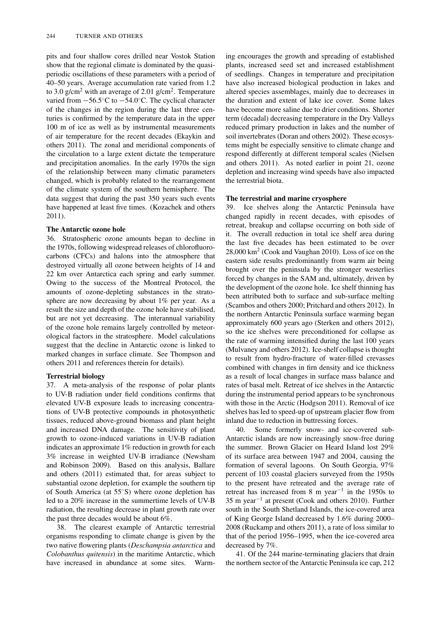pits and four shallow cores drilled near Vostok Station show that the regional climate is dominated by the quasiperiodic oscillations of these parameters with a period of 40–50 years. Average accumulation rate varied from 1.2 to 3.0 g/cm<sup>2</sup> with an average of 2.01 g/cm<sup>2</sup>. Temperature varied from −56.5◦C to −54.0◦C. The cyclical character of the changes in the region during the last three centuries is confirmed by the temperature data in the upper 100 m of ice as well as by instrumental measurements of air temperature for the recent decades (Ekaykin and others 2011). The zonal and meridional components of the circulation to a large extent dictate the temperature and precipitation anomalies. In the early 1970s the sign of the relationship between many climatic parameters changed, which is probably related to the rearrangement of the climate system of the southern hemisphere. The data suggest that during the past 350 years such events have happened at least five times. (Kozachek and others 2011).

#### **The Antarctic ozone hole**

36. Stratospheric ozone amounts began to decline in the 1970s, following widespread releases of chlorofluorocarbons (CFCs) and halons into the atmosphere that destroyed virtually all ozone between heights of 14 and 22 km over Antarctica each spring and early summer. Owing to the success of the Montreal Protocol, the amounts of ozone-depleting substances in the stratosphere are now decreasing by about 1% per year. As a result the size and depth of the ozone hole have stabilised, but are not yet decreasing. The interannual variability of the ozone hole remains largely controlled by meteorological factors in the stratosphere. Model calculations suggest that the decline in Antarctic ozone is linked to marked changes in surface climate. See Thompson and others 2011 and references therein for details).

#### **Terrestrial biology**

37. A meta-analysis of the response of polar plants to UV-B radiation under field conditions confirms that elevated UV-B exposure leads to increasing concentrations of UV-B protective compounds in photosynthetic tissues, reduced above-ground biomass and plant height and increased DNA damage. The sensitivity of plant growth to ozone-induced variations in UV-B radiation indicates an approximate 1% reduction in growth for each 3% increase in weighted UV-B irradiance (Newsham and Robinson 2009). Based on this analysis, Ballare and others (2011) estimated that, for areas subject to substantial ozone depletion, for example the southern tip of South America (at 55◦S) where ozone depletion has led to a 20% increase in the summertime levels of UV-B radiation, the resulting decrease in plant growth rate over the past three decades would be about 6%.

38. The clearest example of Antarctic terrestrial organisms responding to climate change is given by the two native flowering plants (*Deschampsia antarctica* and *Colobanthus quitensis*) in the maritime Antarctic, which have increased in abundance at some sites. Warm-

ing encourages the growth and spreading of established plants, increased seed set and increased establishment of seedlings. Changes in temperature and precipitation have also increased biological production in lakes and altered species assemblages, mainly due to decreases in the duration and extent of lake ice cover. Some lakes have become more saline due to drier conditions. Shorter term (decadal) decreasing temperature in the Dry Valleys reduced primary production in lakes and the number of soil invertebrates (Doran and others 2002). These ecosystems might be especially sensitive to climate change and respond differently at different temporal scales (Nielsen and others 2011). As noted earlier in point 21, ozone depletion and increasing wind speeds have also impacted the terrestrial biota.

### **The terrestrial and marine cryosphere**

39. Ice shelves along the Antarctic Peninsula have changed rapidly in recent decades, with episodes of retreat, breakup and collapse occurring on both side of it. The overall reduction in total ice shelf area during the last five decades has been estimated to be over 28,000 km2 (Cook and Vaughan 2010). Loss of ice on the eastern side results predominantly from warm air being brought over the peninsula by the stronger westerlies forced by changes in the SAM and, ultimately, driven by the development of the ozone hole. Ice shelf thinning has been attributed both to surface and sub-surface melting (Scambos and others 2000; Pritchard and others 2012). In the northern Antarctic Peninsula surface warming began approximately 600 years ago (Sterken and others 2012), so the ice shelves were preconditioned for collapse as the rate of warming intensified during the last 100 years (Mulvaney and others 2012). Ice-shelf collapse is thought to result from hydro-fracture of water-filled crevasses combined with changes in firn density and ice thickness as a result of local changes in surface mass balance and rates of basal melt. Retreat of ice shelves in the Antarctic during the instrumental period appears to be synchronous with those in the Arctic (Hodgson 2011). Removal of ice shelves has led to speed-up of upstream glacier flow from inland due to reduction in buttressing forces.

40. Some formerly snow- and ice-covered sub-Antarctic islands are now increasingly snow-free during the summer. Brown Glacier on Heard Island lost 29% of its surface area between 1947 and 2004, causing the formation of several lagoons. On South Georgia, 97% percent of 103 coastal glaciers surveyed from the 1950s to the present have retreated and the average rate of retreat has increased from 8 m year−<sup>1</sup> in the 1950s to 35 m year−<sup>1</sup> at present (Cook and others 2010). Further south in the South Shetland Islands, the ice-covered area of King George Island decreased by 1.6% during 2000– 2008 (Ruckamp and others 2011), a rate of loss similar to that of the period 1956–1995, when the ice-covered area decreased by 7%.

41. Of the 244 marine-terminating glaciers that drain the northern sector of the Antarctic Peninsula ice cap, 212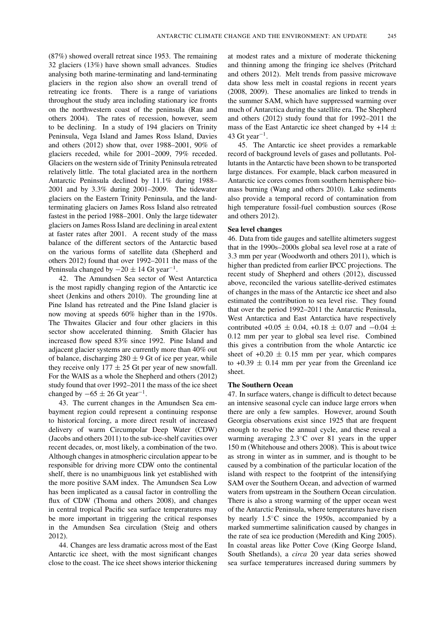(87%) showed overall retreat since 1953. The remaining 32 glaciers (13%) have shown small advances. Studies analysing both marine-terminating and land-terminating glaciers in the region also show an overall trend of retreating ice fronts. There is a range of variations throughout the study area including stationary ice fronts on the northwestern coast of the peninsula (Rau and others 2004). The rates of recession, however, seem to be declining. In a study of 194 glaciers on Trinity Peninsula, Vega Island and James Ross Island, Davies and others (2012) show that, over 1988–2001, 90% of glaciers receded, while for 2001–2009, 79% receded. Glaciers on the western side of Trinity Peninsula retreated relatively little. The total glaciated area in the northern Antarctic Peninsula declined by 11.1% during 1988– 2001 and by 3.3% during 2001–2009. The tidewater glaciers on the Eastern Trinity Peninsula, and the landterminating glaciers on James Ross Island also retreated fastest in the period 1988–2001. Only the large tidewater glaciers on James Ross Island are declining in areal extent at faster rates after 2001. A recent study of the mass balance of the different sectors of the Antarctic based on the various forms of satellite data (Shepherd and others 2012) found that over 1992–2011 the mass of the Peninsula changed by  $-20 \pm 14$  Gt year<sup>-1</sup>.

42. The Amundsen Sea sector of West Antarctica is the most rapidly changing region of the Antarctic ice sheet (Jenkins and others 2010). The grounding line at Pine Island has retreated and the Pine Island glacier is now moving at speeds 60% higher than in the 1970s. The Thwaites Glacier and four other glaciers in this sector show accelerated thinning. Smith Glacier has increased flow speed 83% since 1992. Pine Island and adjacent glacier systems are currently more than 40% out of balance, discharging  $280 \pm 9$  Gt of ice per year, while they receive only  $177 \pm 25$  Gt per year of new snowfall. For the WAIS as a whole the Shepherd and others (2012) study found that over 1992–2011 the mass of the ice sheet changed by  $-65 \pm 26$  Gt year<sup>-1</sup>.

43. The current changes in the Amundsen Sea embayment region could represent a continuing response to historical forcing, a more direct result of increased delivery of warm Circumpolar Deep Water (CDW) (Jacobs and others 2011) to the sub-ice-shelf cavities over recent decades, or, most likely, a combination of the two. Although changes in atmospheric circulation appear to be responsible for driving more CDW onto the continental shelf, there is no unambiguous link yet established with the more positive SAM index. The Amundsen Sea Low has been implicated as a causal factor in controlling the flux of CDW (Thoma and others 2008), and changes in central tropical Pacific sea surface temperatures may be more important in triggering the critical responses in the Amundsen Sea circulation (Steig and others 2012).

44. Changes are less dramatic across most of the East Antarctic ice sheet, with the most significant changes close to the coast. The ice sheet shows interior thickening

at modest rates and a mixture of moderate thickening and thinning among the fringing ice shelves (Pritchard and others 2012). Melt trends from passive microwave data show less melt in coastal regions in recent years (2008, 2009). These anomalies are linked to trends in the summer SAM, which have suppressed warming over much of Antarctica during the satellite era. The Shepherd and others (2012) study found that for 1992–2011 the mass of the East Antarctic ice sheet changed by  $+14 \pm$ 43 Gt year−1.

45. The Antarctic ice sheet provides a remarkable record of background levels of gases and pollutants. Pollutants in the Antarctic have been shown to be transported large distances. For example, black carbon measured in Antarctic ice cores comes from southern hemisphere biomass burning (Wang and others 2010). Lake sediments also provide a temporal record of contamination from high temperature fossil-fuel combustion sources (Rose and others 2012).

#### **Sea level changes**

46. Data from tide gauges and satellite altimeters suggest that in the 1990s–2000s global sea level rose at a rate of 3.3 mm per year (Woodworth and others 2011), which is higher than predicted from earlier IPCC projections. The recent study of Shepherd and others (2012), discussed above, reconciled the various satellite-derived estimates of changes in the mass of the Antarctic ice sheet and also estimated the contribution to sea level rise. They found that over the period 1992–2011 the Antarctic Peninsula, West Antarctica and East Antarctica have respectively contributed +0.05  $\pm$  0.04, +0.18  $\pm$  0.07 and −0.04  $\pm$ 0.12 mm per year to global sea level rise. Combined this gives a contribution from the whole Antarctic ice sheet of  $+0.20 \pm 0.15$  mm per year, which compares to  $+0.39 \pm 0.14$  mm per year from the Greenland ice sheet.

#### **The Southern Ocean**

47. In surface waters, change is difficult to detect because an intensive seasonal cycle can induce large errors when there are only a few samples. However, around South Georgia observations exist since 1925 that are frequent enough to resolve the annual cycle, and these reveal a warming averaging 2.3◦C over 81 years in the upper 150 m (Whitehouse and others 2008). This is about twice as strong in winter as in summer, and is thought to be caused by a combination of the particular location of the island with respect to the footprint of the intensifying SAM over the Southern Ocean, and advection of warmed waters from upstream in the Southern Ocean circulation. There is also a strong warming of the upper ocean west of the Antarctic Peninsula, where temperatures have risen by nearly 1.5◦C since the 1950s, accompanied by a marked summertime salinification caused by changes in the rate of sea ice production (Meredith and King 2005). In coastal areas like Potter Cove (King George Island, South Shetlands), a *circa* 20 year data series showed sea surface temperatures increased during summers by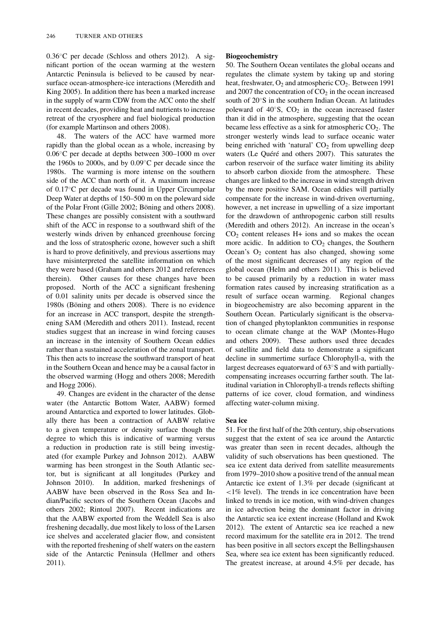0.36◦C per decade (Schloss and others 2012). A significant portion of the ocean warming at the western Antarctic Peninsula is believed to be caused by nearsurface ocean-atmosphere-ice interactions (Meredith and King 2005). In addition there has been a marked increase in the supply of warm CDW from the ACC onto the shelf in recent decades, providing heat and nutrients to increase retreat of the cryosphere and fuel biological production (for example Martinson and others 2008).

48. The waters of the ACC have warmed more rapidly than the global ocean as a whole, increasing by 0.06◦C per decade at depths between 300–1000 m over the 1960s to 2000s, and by 0.09◦C per decade since the 1980s. The warming is more intense on the southern side of the ACC than north of it. A maximum increase of 0.17◦C per decade was found in Upper Circumpolar Deep Water at depths of 150–500 m on the poleward side of the Polar Front (Gille 2002; Böning and others 2008). These changes are possibly consistent with a southward shift of the ACC in response to a southward shift of the westerly winds driven by enhanced greenhouse forcing and the loss of stratospheric ozone, however such a shift is hard to prove definitively, and previous assertions may have misinterpreted the satellite information on which they were based (Graham and others 2012 and references therein). Other causes for these changes have been proposed. North of the ACC a significant freshening of 0.01 salinity units per decade is observed since the 1980s (Böning and others 2008). There is no evidence for an increase in ACC transport, despite the strengthening SAM (Meredith and others 2011). Instead, recent studies suggest that an increase in wind forcing causes an increase in the intensity of Southern Ocean eddies rather than a sustained acceleration of the zonal transport. This then acts to increase the southward transport of heat in the Southern Ocean and hence may be a causal factor in the observed warming (Hogg and others 2008; Meredith and Hogg 2006).

49. Changes are evident in the character of the dense water (the Antarctic Bottom Water, AABW) formed around Antarctica and exported to lower latitudes. Globally there has been a contraction of AABW relative to a given temperature or density surface though the degree to which this is indicative of warming versus a reduction in production rate is still being investigated (for example Purkey and Johnson 2012). AABW warming has been strongest in the South Atlantic sector, but is significant at all longitudes (Purkey and Johnson 2010). In addition, marked freshenings of AABW have been observed in the Ross Sea and Indian/Pacific sectors of the Southern Ocean (Jacobs and others 2002; Rintoul 2007). Recent indications are that the AABW exported from the Weddell Sea is also freshening decadally, due most likely to loss of the Larsen ice shelves and accelerated glacier flow, and consistent with the reported freshening of shelf waters on the eastern side of the Antarctic Peninsula (Hellmer and others 2011).

### **Biogeochemistry**

50. The Southern Ocean ventilates the global oceans and regulates the climate system by taking up and storing heat, freshwater,  $O_2$  and atmospheric  $CO_2$ . Between 1991 and 2007 the concentration of  $CO<sub>2</sub>$  in the ocean increased south of 20◦S in the southern Indian Ocean. At latitudes poleward of  $40°S$ ,  $CO<sub>2</sub>$  in the ocean increased faster than it did in the atmosphere, suggesting that the ocean became less effective as a sink for atmospheric  $CO<sub>2</sub>$ . The stronger westerly winds lead to surface oceanic water being enriched with 'natural'  $CO<sub>2</sub>$  from upwelling deep waters (Le Quéré and others 2007). This saturates the carbon reservoir of the surface water limiting its ability to absorb carbon dioxide from the atmosphere. These changes are linked to the increase in wind strength driven by the more positive SAM. Ocean eddies will partially compensate for the increase in wind-driven overturning, however, a net increase in upwelling of a size important for the drawdown of anthropogenic carbon still results (Meredith and others 2012). An increase in the ocean's  $CO<sub>2</sub>$  content releases H+ ions and so makes the ocean more acidic. In addition to  $CO<sub>2</sub>$  changes, the Southern Ocean's  $O_2$  content has also changed, showing some of the most significant decreases of any region of the global ocean (Helm and others 2011). This is believed to be caused primarily by a reduction in water mass formation rates caused by increasing stratification as a result of surface ocean warming. Regional changes in biogeochemistry are also becoming apparent in the Southern Ocean. Particularly significant is the observation of changed phytoplankton communities in response to ocean climate change at the WAP (Montes-Hugo and others 2009). These authors used three decades of satellite and field data to demonstrate a significant decline in summertime surface Chlorophyll-a, with the largest decreases equatorward of 63◦S and with partiallycompensating increases occurring farther south. The latitudinal variation in Chlorophyll-a trends reflects shifting patterns of ice cover, cloud formation, and windiness affecting water-column mixing.

#### **Sea ice**

51. For the first half of the 20th century, ship observations suggest that the extent of sea ice around the Antarctic was greater than seen in recent decades, although the validity of such observations has been questioned. The sea ice extent data derived from satellite measurements from 1979–2010 show a positive trend of the annual mean Antarctic ice extent of 1.3% per decade (significant at *<*1% level). The trends in ice concentration have been linked to trends in ice motion, with wind-driven changes in ice advection being the dominant factor in driving the Antarctic sea ice extent increase (Holland and Kwok 2012). The extent of Antarctic sea ice reached a new record maximum for the satellite era in 2012. The trend has been positive in all sectors except the Bellingshausen Sea, where sea ice extent has been significantly reduced. The greatest increase, at around 4.5% per decade, has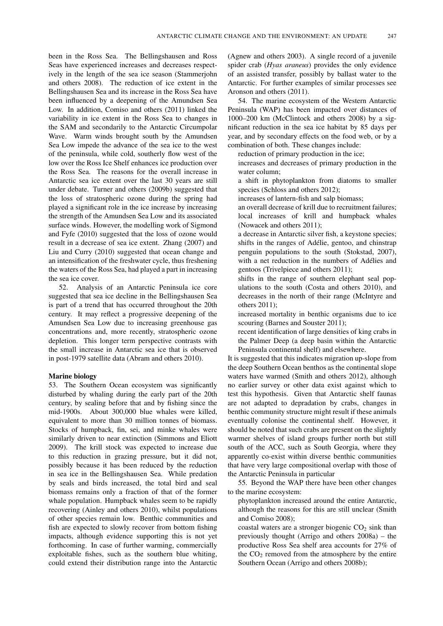been in the Ross Sea. The Bellingshausen and Ross Seas have experienced increases and decreases respectively in the length of the sea ice season (Stammerjohn and others 2008). The reduction of ice extent in the Bellingshausen Sea and its increase in the Ross Sea have been influenced by a deepening of the Amundsen Sea Low. In addition, Comiso and others (2011) linked the variability in ice extent in the Ross Sea to changes in the SAM and secondarily to the Antarctic Circumpolar Wave. Warm winds brought south by the Amundsen Sea Low impede the advance of the sea ice to the west of the peninsula, while cold, southerly flow west of the low over the Ross Ice Shelf enhances ice production over the Ross Sea. The reasons for the overall increase in Antarctic sea ice extent over the last 30 years are still under debate. Turner and others (2009b) suggested that the loss of stratospheric ozone during the spring had played a significant role in the ice increase by increasing the strength of the Amundsen Sea Low and its associated surface winds. However, the modelling work of Sigmond and Fyfe (2010) suggested that the loss of ozone would result in a decrease of sea ice extent. Zhang (2007) and Liu and Curry (2010) suggested that ocean change and an intensification of the freshwater cycle, thus freshening the waters of the Ross Sea, had played a part in increasing the sea ice cover.

52. Analysis of an Antarctic Peninsula ice core suggested that sea ice decline in the Bellingshausen Sea is part of a trend that has occurred throughout the 20th century. It may reflect a progressive deepening of the Amundsen Sea Low due to increasing greenhouse gas concentrations and, more recently, stratospheric ozone depletion. This longer term perspective contrasts with the small increase in Antarctic sea ice that is observed in post-1979 satellite data (Abram and others 2010).

#### **Marine biology**

53. The Southern Ocean ecosystem was significantly disturbed by whaling during the early part of the 20th century, by sealing before that and by fishing since the mid-1900s. About 300,000 blue whales were killed, equivalent to more than 30 million tonnes of biomass. Stocks of humpback, fin, sei, and minke whales were similarly driven to near extinction (Simmons and Eliott 2009). The krill stock was expected to increase due to this reduction in grazing pressure, but it did not, possibly because it has been reduced by the reduction in sea ice in the Bellingshausen Sea. While predation by seals and birds increased, the total bird and seal biomass remains only a fraction of that of the former whale population. Humpback whales seem to be rapidly recovering (Ainley and others 2010), whilst populations of other species remain low. Benthic communities and fish are expected to slowly recover from bottom fishing impacts, although evidence supporting this is not yet forthcoming. In case of further warming, commercially exploitable fishes, such as the southern blue whiting, could extend their distribution range into the Antarctic

(Agnew and others 2003). A single record of a juvenile spider crab (*Hyas araneus*) provides the only evidence of an assisted transfer, possibly by ballast water to the Antarctic. For further examples of similar processes see Aronson and others (2011).

54. The marine ecosystem of the Western Antarctic Peninsula (WAP) has been impacted over distances of 1000–200 km (McClintock and others 2008) by a significant reduction in the sea ice habitat by 85 days per year, and by secondary effects on the food web, or by a combination of both. These changes include:

reduction of primary production in the ice;

increases and decreases of primary production in the water column;

a shift in phytoplankton from diatoms to smaller species (Schloss and others 2012);

increases of lantern-fish and salp biomass;

an overall decrease of krill due to recruitment failures; local increases of krill and humpback whales (Nowacek and others 2011);

a decrease in Antarctic silver fish, a keystone species; shifts in the ranges of Adélie, gentoo, and chinstrap penguin populations to the south (Stokstad, 2007), with a net reduction in the numbers of Adélies and gentoos (Trivelpiece and others 2011);

shifts in the range of southern elephant seal populations to the south (Costa and others 2010), and decreases in the north of their range (McIntyre and others 2011);

increased mortality in benthic organisms due to ice scouring (Barnes and Souster 2011);

recent identification of large densities of king crabs in the Palmer Deep (a deep basin within the Antarctic Peninsula continental shelf) and elsewhere.

It is suggested that this indicates migration up-slope from the deep Southern Ocean benthos as the continental slope waters have warmed (Smith and others 2012), although no earlier survey or other data exist against which to test this hypothesis. Given that Antarctic shelf faunas are not adapted to depradation by crabs, changes in benthic community structure might result if these animals eventually colonise the continental shelf. However, it should be noted that such crabs are present on the slightly warmer shelves of island groups further north but still south of the ACC, such as South Georgia, where they apparently co-exist within diverse benthic communities that have very large compositional overlap with those of the Antarctic Peninsula in particular

55. Beyond the WAP there have been other changes to the marine ecosystem:

phytoplankton increased around the entire Antarctic, although the reasons for this are still unclear (Smith and Comiso 2008);

coastal waters are a stronger biogenic  $CO<sub>2</sub>$  sink than previously thought (Arrigo and others 2008a) – the productive Ross Sea shelf area accounts for 27% of the  $CO<sub>2</sub>$  removed from the atmosphere by the entire Southern Ocean (Arrigo and others 2008b);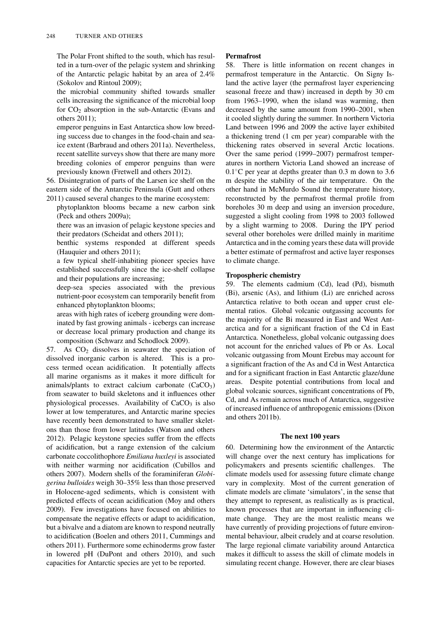The Polar Front shifted to the south, which has resulted in a turn-over of the pelagic system and shrinking of the Antarctic pelagic habitat by an area of 2.4% (Sokolov and Rintoul 2009);

the microbial community shifted towards smaller cells increasing the significance of the microbial loop for  $CO<sub>2</sub>$  absorption in the sub-Antarctic (Evans and others 2011);

emperor penguins in East Antarctica show low breeding success due to changes in the food-chain and seaice extent (Barbraud and others 2011a). Nevertheless, recent satellite surveys show that there are many more breeding colonies of emperor penguins than were previously known (Fretwell and others 2012).

56. Disintegration of parts of the Larsen ice shelf on the eastern side of the Antarctic Peninsula (Gutt and others 2011) caused several changes to the marine ecosystem:

phytoplankton blooms became a new carbon sink (Peck and others 2009a);

there was an invasion of pelagic keystone species and their predators (Scheidat and others 2011);

benthic systems responded at different speeds (Hauquier and others 2011);

a few typical shelf-inhabiting pioneer species have established successfully since the ice-shelf collapse and their populations are increasing;

deep-sea species associated with the previous nutrient-poor ecosystem can temporarily benefit from enhanced phytoplankton blooms;

areas with high rates of iceberg grounding were dominated by fast growing animals - icebergs can increase or decrease local primary production and change its composition (Schwarz and Schodlock 2009).

57. As  $CO<sub>2</sub>$  dissolves in seawater the speciation of dissolved inorganic carbon is altered. This is a process termed ocean acidification. It potentially affects all marine organisms as it makes it more difficult for animals/plants to extract calcium carbonate  $(CaCO<sub>3</sub>)$ from seawater to build skeletons and it influences other physiological processes. Availability of  $CaCO<sub>3</sub>$  is also lower at low temperatures, and Antarctic marine species have recently been demonstrated to have smaller skeletons than those from lower latitudes (Watson and others 2012). Pelagic keystone species suffer from the effects of acidification, but a range extension of the calcium carbonate coccolithophore *Emiliana huxleyi* is associated with neither warming nor acidification (Cubillos and others 2007). Modern shells of the foraminiferan *Globigerina bulloides* weigh 30–35% less than those preserved in Holocene-aged sediments, which is consistent with predicted effects of ocean acidification (Moy and others 2009). Few investigations have focused on abilities to compensate the negative effects or adapt to acidification, but a bivalve and a diatom are known to respond neutrally to acidification (Boelen and others 2011, Cummings and others 2011). Furthermore some echinoderms grow faster in lowered pH (DuPont and others 2010), and such capacities for Antarctic species are yet to be reported.

### **Permafrost**

58. There is little information on recent changes in permafrost temperature in the Antarctic. On Signy Island the active layer (the permafrost layer experiencing seasonal freeze and thaw) increased in depth by 30 cm from 1963–1990, when the island was warming, then decreased by the same amount from 1990–2001, when it cooled slightly during the summer. In northern Victoria Land between 1996 and 2009 the active layer exhibited a thickening trend (1 cm per year) comparable with the thickening rates observed in several Arctic locations. Over the same period (1999–2007) permafrost temperatures in northern Victoria Land showed an increase of 0.1◦C per year at depths greater than 0.3 m down to 3.6 m despite the stability of the air temperature. On the other hand in McMurdo Sound the temperature history, reconstructed by the permafrost thermal profile from boreholes 30 m deep and using an inversion procedure, suggested a slight cooling from 1998 to 2003 followed by a slight warming to 2008. During the IPY period several other boreholes were drilled mainly in maritime Antarctica and in the coming years these data will provide a better estimate of permafrost and active layer responses to climate change.

### **Tropospheric chemistry**

59. The elements cadmium (Cd), lead (Pd), bismuth (Bi), arsenic (As), and lithium (Li) are enriched across Antarctica relative to both ocean and upper crust elemental ratios. Global volcanic outgassing accounts for the majority of the Bi measured in East and West Antarctica and for a significant fraction of the Cd in East Antarctica. Nonetheless, global volcanic outgassing does not account for the enriched values of Pb or As. Local volcanic outgassing from Mount Erebus may account for a significant fraction of the As and Cd in West Antarctica and for a significant fraction in East Antarctic glaze/dune areas. Despite potential contributions from local and global volcanic sources, significant concentrations of Pb, Cd, and As remain across much of Antarctica, suggestive of increased influence of anthropogenic emissions (Dixon and others 2011b).

#### **The next 100 years**

60. Determining how the environment of the Antarctic will change over the next century has implications for policymakers and presents scientific challenges. The climate models used for assessing future climate change vary in complexity. Most of the current generation of climate models are climate 'simulators', in the sense that they attempt to represent, as realistically as is practical, known processes that are important in influencing climate change. They are the most realistic means we have currently of providing projections of future environmental behaviour, albeit crudely and at coarse resolution. The large regional climate variability around Antarctica makes it difficult to assess the skill of climate models in simulating recent change. However, there are clear biases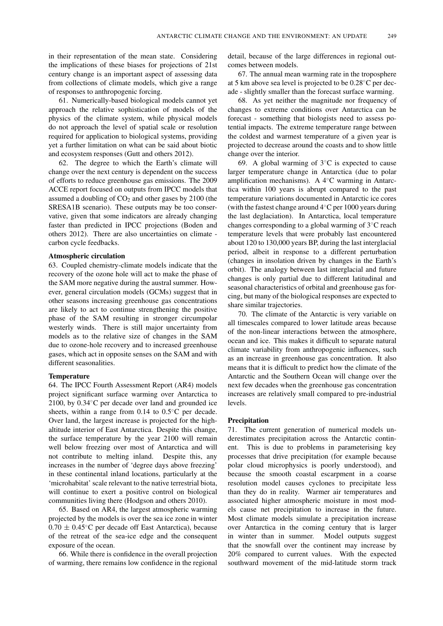in their representation of the mean state. Considering the implications of these biases for projections of 21st century change is an important aspect of assessing data from collections of climate models, which give a range of responses to anthropogenic forcing.

61. Numerically-based biological models cannot yet approach the relative sophistication of models of the physics of the climate system, while physical models do not approach the level of spatial scale or resolution required for application to biological systems, providing yet a further limitation on what can be said about biotic and ecosystem responses (Gutt and others 2012).

62. The degree to which the Earth's climate will change over the next century is dependent on the success of efforts to reduce greenhouse gas emissions. The 2009 ACCE report focused on outputs from IPCC models that assumed a doubling of  $CO<sub>2</sub>$  and other gases by 2100 (the SRESA1B scenario). These outputs may be too conservative, given that some indicators are already changing faster than predicted in IPCC projections (Boden and others 2012). There are also uncertainties on climate carbon cycle feedbacks.

### **Atmospheric circulation**

63. Coupled chemistry-climate models indicate that the recovery of the ozone hole will act to make the phase of the SAM more negative during the austral summer. However, general circulation models (GCMs) suggest that in other seasons increasing greenhouse gas concentrations are likely to act to continue strengthening the positive phase of the SAM resulting in stronger circumpolar westerly winds. There is still major uncertainty from models as to the relative size of changes in the SAM due to ozone-hole recovery and to increased greenhouse gases, which act in opposite senses on the SAM and with different seasonalities.

#### **Temperature**

64. The IPCC Fourth Assessment Report (AR4) models project significant surface warming over Antarctica to 2100, by 0.34◦C per decade over land and grounded ice sheets, within a range from 0.14 to 0.5◦C per decade. Over land, the largest increase is projected for the highaltitude interior of East Antarctica. Despite this change, the surface temperature by the year 2100 will remain well below freezing over most of Antarctica and will not contribute to melting inland. Despite this, any increases in the number of 'degree days above freezing' in these continental inland locations, particularly at the 'microhabitat' scale relevant to the native terrestrial biota, will continue to exert a positive control on biological communities living there (Hodgson and others 2010).

65. Based on AR4, the largest atmospheric warming projected by the models is over the sea ice zone in winter  $0.70 \pm 0.45^{\circ}$ C per decade off East Antarctica), because of the retreat of the sea-ice edge and the consequent exposure of the ocean.

66. While there is confidence in the overall projection of warming, there remains low confidence in the regional detail, because of the large differences in regional outcomes between models.

67. The annual mean warming rate in the troposphere at 5 km above sea level is projected to be 0.28◦C per decade - slightly smaller than the forecast surface warming.

68. As yet neither the magnitude nor frequency of changes to extreme conditions over Antarctica can be forecast - something that biologists need to assess potential impacts. The extreme temperature range between the coldest and warmest temperature of a given year is projected to decrease around the coasts and to show little change over the interior.

69. A global warming of  $3^{\circ}$ C is expected to cause larger temperature change in Antarctica (due to polar amplification mechanisms). A 4◦C warming in Antarctica within 100 years is abrupt compared to the past temperature variations documented in Antarctic ice cores (with the fastest change around 4◦C per 1000 years during the last deglaciation). In Antarctica, local temperature changes corresponding to a global warming of 3◦C reach temperature levels that were probably last encountered about 120 to 130,000 years BP, during the last interglacial period, albeit in response to a different perturbation (changes in insolation driven by changes in the Earth's orbit). The analogy between last interglacial and future changes is only partial due to different latitudinal and seasonal characteristics of orbital and greenhouse gas forcing, but many of the biological responses are expected to share similar trajectories.

70. The climate of the Antarctic is very variable on all timescales compared to lower latitude areas because of the non-linear interactions between the atmosphere, ocean and ice. This makes it difficult to separate natural climate variability from anthropogenic influences, such as an increase in greenhouse gas concentration. It also means that it is difficult to predict how the climate of the Antarctic and the Southern Ocean will change over the next few decades when the greenhouse gas concentration increases are relatively small compared to pre-industrial levels.

#### **Precipitation**

71. The current generation of numerical models underestimates precipitation across the Antarctic continent. This is due to problems in parameterising key processes that drive precipitation (for example because polar cloud microphysics is poorly understood), and because the smooth coastal escarpment in a coarse resolution model causes cyclones to precipitate less than they do in reality. Warmer air temperatures and associated higher atmospheric moisture in most models cause net precipitation to increase in the future. Most climate models simulate a precipitation increase over Antarctica in the coming century that is larger in winter than in summer. Model outputs suggest that the snowfall over the continent may increase by 20% compared to current values. With the expected southward movement of the mid-latitude storm track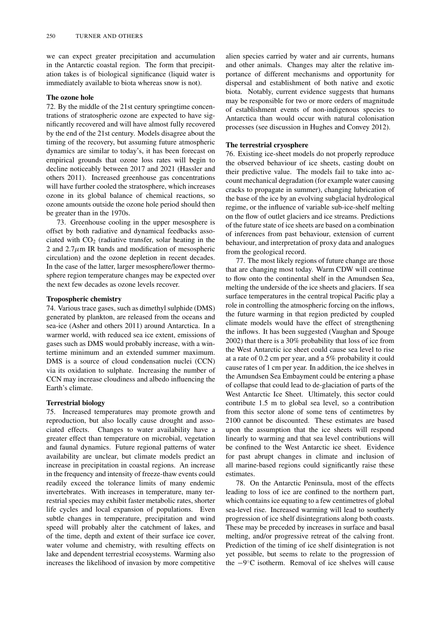we can expect greater precipitation and accumulation in the Antarctic coastal region. The form that precipitation takes is of biological significance (liquid water is immediately available to biota whereas snow is not).

### **The ozone hole**

72. By the middle of the 21st century springtime concentrations of stratospheric ozone are expected to have significantly recovered and will have almost fully recovered by the end of the 21st century. Models disagree about the timing of the recovery, but assuming future atmospheric dynamics are similar to today's, it has been forecast on empirical grounds that ozone loss rates will begin to decline noticeably between 2017 and 2021 (Hassler and others 2011). Increased greenhouse gas concentrations will have further cooled the stratosphere, which increases ozone in its global balance of chemical reactions, so ozone amounts outside the ozone hole period should then be greater than in the 1970s.

73. Greenhouse cooling in the upper mesosphere is offset by both radiative and dynamical feedbacks associated with  $CO<sub>2</sub>$  (radiative transfer, solar heating in the 2 and  $2.7\mu$ m IR bands and modification of mesospheric circulation) and the ozone depletion in recent decades. In the case of the latter, larger mesosphere/lower thermosphere region temperature changes may be expected over the next few decades as ozone levels recover.

### **Tropospheric chemistry**

74. Various trace gases, such as dimethyl sulphide (DMS) generated by plankton, are released from the oceans and sea-ice (Asher and others 2011) around Antarctica. In a warmer world, with reduced sea ice extent, emissions of gases such as DMS would probably increase, with a wintertime minimum and an extended summer maximum. DMS is a source of cloud condensation nuclei (CCN) via its oxidation to sulphate. Increasing the number of CCN may increase cloudiness and albedo influencing the Earth's climate.

## **Terrestrial biology**

75. Increased temperatures may promote growth and reproduction, but also locally cause drought and associated effects. Changes to water availability have a greater effect than temperature on microbial, vegetation and faunal dynamics. Future regional patterns of water availability are unclear, but climate models predict an increase in precipitation in coastal regions. An increase in the frequency and intensity of freeze-thaw events could readily exceed the tolerance limits of many endemic invertebrates. With increases in temperature, many terrestrial species may exhibit faster metabolic rates, shorter life cycles and local expansion of populations. Even subtle changes in temperature, precipitation and wind speed will probably alter the catchment of lakes, and of the time, depth and extent of their surface ice cover, water volume and chemistry, with resulting effects on lake and dependent terrestrial ecosystems. Warming also increases the likelihood of invasion by more competitive

alien species carried by water and air currents, humans and other animals. Changes may alter the relative importance of different mechanisms and opportunity for dispersal and establishment of both native and exotic biota. Notably, current evidence suggests that humans may be responsible for two or more orders of magnitude of establishment events of non-indigenous species to Antarctica than would occur with natural colonisation processes (see discussion in Hughes and Convey 2012).

#### **The terrestrial cryosphere**

76. Existing ice-sheet models do not properly reproduce the observed behaviour of ice sheets, casting doubt on their predictive value. The models fail to take into account mechanical degradation (for example water causing cracks to propagate in summer), changing lubrication of the base of the ice by an evolving subglacial hydrological regime, or the influence of variable sub-ice-shelf melting on the flow of outlet glaciers and ice streams. Predictions of the future state of ice sheets are based on a combination of inferences from past behaviour, extension of current behaviour, and interpretation of proxy data and analogues from the geological record.

77. The most likely regions of future change are those that are changing most today. Warm CDW will continue to flow onto the continental shelf in the Amundsen Sea, melting the underside of the ice sheets and glaciers. If sea surface temperatures in the central tropical Pacific play a role in controlling the atmospheric forcing on the inflows, the future warming in that region predicted by coupled climate models would have the effect of strengthening the inflows. It has been suggested (Vaughan and Spouge 2002) that there is a 30% probability that loss of ice from the West Antarctic ice sheet could cause sea level to rise at a rate of 0.2 cm per year, and a 5% probability it could cause rates of 1 cm per year. In addition, the ice shelves in the Amundsen Sea Embayment could be entering a phase of collapse that could lead to de-glaciation of parts of the West Antarctic Ice Sheet. Ultimately, this sector could contribute 1.5 m to global sea level, so a contribution from this sector alone of some tens of centimetres by 2100 cannot be discounted. These estimates are based upon the assumption that the ice sheets will respond linearly to warming and that sea level contributions will be confined to the West Antarctic ice sheet. Evidence for past abrupt changes in climate and inclusion of all marine-based regions could significantly raise these estimates.

78. On the Antarctic Peninsula, most of the effects leading to loss of ice are confined to the northern part, which contains ice equating to a few centimetres of global sea-level rise. Increased warming will lead to southerly progression of ice shelf disintegrations along both coasts. These may be preceded by increases in surface and basal melting, and/or progressive retreat of the calving front. Prediction of the timing of ice shelf disintegration is not yet possible, but seems to relate to the progression of the −9◦C isotherm. Removal of ice shelves will cause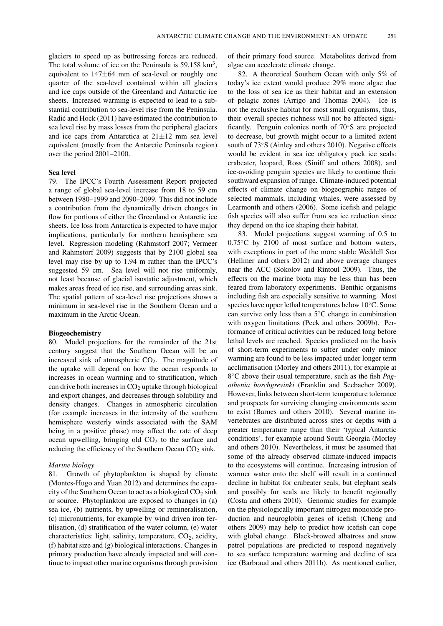glaciers to speed up as buttressing forces are reduced. The total volume of ice on the Peninsula is  $59,158 \text{ km}^3$ , equivalent to  $147\pm64$  mm of sea-level or roughly one quarter of the sea-level contained within all glaciers and ice caps outside of the Greenland and Antarctic ice sheets. Increased warming is expected to lead to a substantial contribution to sea-level rise from the Peninsula. Radic and Hock (2011) have estimated the contribution to ´ sea level rise by mass losses from the peripheral glaciers and ice caps from Antarctica at  $21 \pm 12$  mm sea level equivalent (mostly from the Antarctic Peninsula region) over the period 2001–2100.

#### **Sea level**

79. The IPCC's Fourth Assessment Report projected a range of global sea-level increase from 18 to 59 cm between 1980–1999 and 2090–2099. This did not include a contribution from the dynamically driven changes in flow for portions of either the Greenland or Antarctic ice sheets. Ice loss from Antarctica is expected to have major implications, particularly for northern hemisphere sea level. Regression modeling (Rahmstorf 2007; Vermeer and Rahmstorf 2009) suggests that by 2100 global sea level may rise by up to 1.94 m rather than the IPCC's suggested 59 cm. Sea level will not rise uniformly, not least because of glacial isostatic adjustment, which makes areas freed of ice rise, and surrounding areas sink. The spatial pattern of sea-level rise projections shows a minimum in sea-level rise in the Southern Ocean and a maximum in the Arctic Ocean.

#### **Biogeochemistry**

80. Model projections for the remainder of the 21st century suggest that the Southern Ocean will be an increased sink of atmospheric  $CO<sub>2</sub>$ . The magnitude of the uptake will depend on how the ocean responds to increases in ocean warming and to stratification, which can drive both increases in  $CO<sub>2</sub>$  uptake through biological and export changes, and decreases through solubility and density changes. Changes in atmospheric circulation (for example increases in the intensity of the southern hemisphere westerly winds associated with the SAM being in a positive phase) may affect the rate of deep ocean upwelling, bringing old  $CO<sub>2</sub>$  to the surface and reducing the efficiency of the Southern Ocean  $CO<sub>2</sub>$  sink.

#### *Marine biology*

81. Growth of phytoplankton is shaped by climate (Montes-Hugo and Yuan 2012) and determines the capacity of the Southern Ocean to act as a biological  $CO<sub>2</sub>$  sink or source. Phytoplankton are exposed to changes in (a) sea ice, (b) nutrients, by upwelling or remineralisation, (c) micronutrients, for example by wind driven iron fertilisation, (d) stratification of the water column, (e) water characteristics: light, salinity, temperature,  $CO<sub>2</sub>$ , acidity, (f) habitat size and (g) biological interactions. Changes in primary production have already impacted and will continue to impact other marine organisms through provision of their primary food source. Metabolites derived from algae can accelerate climate change.

82. A theoretical Southern Ocean with only 5% of today's ice extent would produce 29% more algae due to the loss of sea ice as their habitat and an extension of pelagic zones (Arrigo and Thomas 2004). Ice is not the exclusive habitat for most small organisms, thus, their overall species richness will not be affected significantly. Penguin colonies north of 70◦S are projected to decrease, but growth might occur to a limited extent south of 73◦S (Ainley and others 2010). Negative effects would be evident in sea ice obligatory pack ice seals: crabeater, leopard, Ross (Siniff and others 2008), and ice-avoiding penguin species are likely to continue their southward expansion of range. Climate-induced potential effects of climate change on biogeographic ranges of selected mammals, including whales, were assessed by Learmonth and others (2006). Some icefish and pelagic fish species will also suffer from sea ice reduction since they depend on the ice shaping their habitat.

83. Model projections suggest warming of 0.5 to 0.75◦C by 2100 of most surface and bottom waters, with exceptions in part of the more stable Weddell Sea (Hellmer and others 2012) and above average changes near the ACC (Sokolov and Rintoul 2009). Thus, the effects on the marine biota may be less than has been feared from laboratory experiments. Benthic organisms including fish are especially sensitive to warming. Most species have upper lethal temperatures below 10◦C. Some can survive only less than a 5◦C change in combination with oxygen limitations (Peck and others 2009b). Performance of critical activities can be reduced long before lethal levels are reached. Species predicted on the basis of short-term experiments to suffer under only minor warming are found to be less impacted under longer term acclimatisation (Morley and others 2011), for example at 8◦C above their usual temperature, such as the fish *Pagothenia borchgrevinki* (Franklin and Seebacher 2009). However, links between short-term temperature tolerance and prospects for surviving changing environments seem to exist (Barnes and others 2010). Several marine invertebrates are distributed across sites or depths with a greater temperature range than their 'typical Antarctic conditions', for example around South Georgia (Morley and others 2010). Nevertheless, it must be assumed that some of the already observed climate-induced impacts to the ecosystems will continue. Increasing intrusion of warmer water onto the shelf will result in a continued decline in habitat for crabeater seals, but elephant seals and possibly fur seals are likely to benefit regionally (Costa and others 2010). Genomic studies for example on the physiologically important nitrogen monoxide production and neuroglobin genes of icefish (Cheng and others 2009) may help to predict how icefish can cope with global change. Black-browed albatross and snow petrel populations are predicted to respond negatively to sea surface temperature warming and decline of sea ice (Barbraud and others 2011b). As mentioned earlier,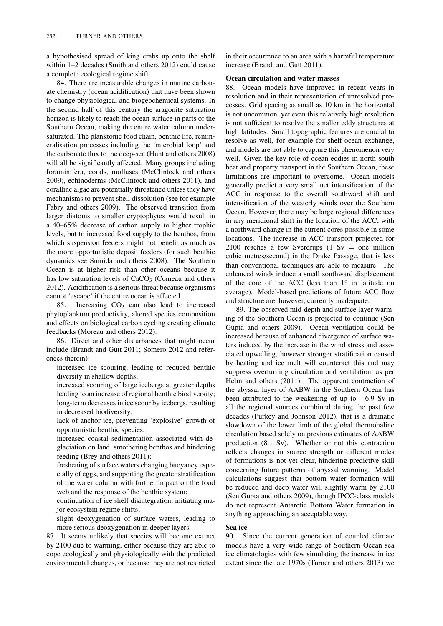a hypothesised spread of king crabs up onto the shelf within 1–2 decades (Smith and others 2012) could cause a complete ecological regime shift.

84. There are measurable changes in marine carbonate chemistry (ocean acidification) that have been shown to change physiological and biogeochemical systems. In the second half of this century the aragonite saturation horizon is likely to reach the ocean surface in parts of the Southern Ocean, making the entire water column undersaturated. The planktonic food chain, benthic life, remineralisation processes including the 'microbial loop' and the carbonate flux to the deep-sea (Hunt and others 2008) will all be significantly affected. Many groups including foraminifera, corals, molluscs (McClintock and others 2009), echinoderms (McClintock and others 2011), and coralline algae are potentially threatened unless they have mechanisms to prevent shell dissolution (see for example Fabry and others 2009). The observed transition from larger diatoms to smaller cryptophytes would result in a 40–65% decrease of carbon supply to higher trophic levels, but to increased food supply to the benthos, from which suspension feeders might not benefit as much as the more opportunistic deposit feeders (for such benthic dynamics see Sumida and others 2008). The Southern Ocean is at higher risk than other oceans because it has low saturation levels of  $CaCO<sub>3</sub>$  (Comeau and others 2012). Acidification is a serious threat because organisms cannot 'escape' if the entire ocean is affected.

85. Increasing  $CO<sub>2</sub>$  can also lead to increased phytoplankton productivity, altered species composition and effects on biological carbon cycling creating climate feedbacks (Moreau and others 2012).

86. Direct and other disturbances that might occur include (Brandt and Gutt 2011; Somero 2012 and references therein):

increased ice scouring, leading to reduced benthic diversity in shallow depths;

increased scouring of large icebergs at greater depths leading to an increase of regional benthic biodiversity; long-term decreases in ice scour by icebergs, resulting in decreased biodiversity;

lack of anchor ice, preventing 'explosive' growth of opportunistic benthic species;

increased coastal sedimentation associated with deglaciation on land, smothering benthos and hindering feeding (Brey and others 2011);

freshening of surface waters changing buoyancy especially of eggs, and supporting the greater stratification of the water column with further impact on the food web and the response of the benthic system;

continuation of ice shelf disintegration, initiating major ecosystem regime shifts;

slight deoxygenation of surface waters, leading to more serious deoxygenation in deeper layers.

87. It seems unlikely that species will become extinct by 2100 due to warming, either because they are able to cope ecologically and physiologically with the predicted environmental changes, or because they are not restricted

in their occurrence to an area with a harmful temperature increase (Brandt and Gutt 2011).

### **Ocean circulation and water masses**

88. Ocean models have improved in recent years in resolution and in their representation of unresolved processes. Grid spacing as small as 10 km in the horizontal is not uncommon, yet even this relatively high resolution is not sufficient to resolve the smaller eddy structures at high latitudes. Small topographic features are crucial to resolve as well, for example for shelf-ocean exchange, and models are not able to capture this phenomenon very well. Given the key role of ocean eddies in north-south heat and property transport in the Southern Ocean, these limitations are important to overcome. Ocean models generally predict a very small net intensification of the ACC in response to the overall southward shift and intensification of the westerly winds over the Southern Ocean. However, there may be large regional differences in any meridional shift in the location of the ACC, with a northward change in the current cores possible in some locations. The increase in ACC transport projected for 2100 reaches a few Sverdrups  $(1 \text{ Sv} = \text{one million})$ cubic metres/second) in the Drake Passage, that is less than conventional techniques are able to measure. The enhanced winds induce a small southward displacement of the core of the ACC (less than  $1°$  in latitude on average). Model-based predictions of future ACC flow and structure are, however, currently inadequate.

89. The observed mid-depth and surface layer warming of the Southern Ocean is projected to continue (Sen Gupta and others 2009). Ocean ventilation could be increased because of enhanced divergence of surface waters induced by the increase in the wind stress and associated upwelling, however stronger stratification caused by heating and ice melt will counteract this and may suppress overturning circulation and ventilation, as per Helm and others (2011). The apparent contraction of the abyssal layer of AABW in the Southern Ocean has been attributed to the weakening of up to −6.9 Sv in all the regional sources combined during the past few decades (Purkey and Johnson 2012), that is a dramatic slowdown of the lower limb of the global thermohaline circulation based solely on previous estimates of AABW production (8.1 Sv). Whether or not this contraction reflects changes in source strength or different modes of formations is not yet clear, hindering predictive skill concerning future patterns of abyssal warming. Model calculations suggest that bottom water formation will be reduced and deep water will slightly warm by 2100 (Sen Gupta and others 2009), though IPCC-class models do not represent Antarctic Bottom Water formation in anything approaching an acceptable way.

#### **Sea ice**

90. Since the current generation of coupled climate models have a very wide range of Southern Ocean sea ice climatologies with few simulating the increase in ice extent since the late 1970s (Turner and others 2013) we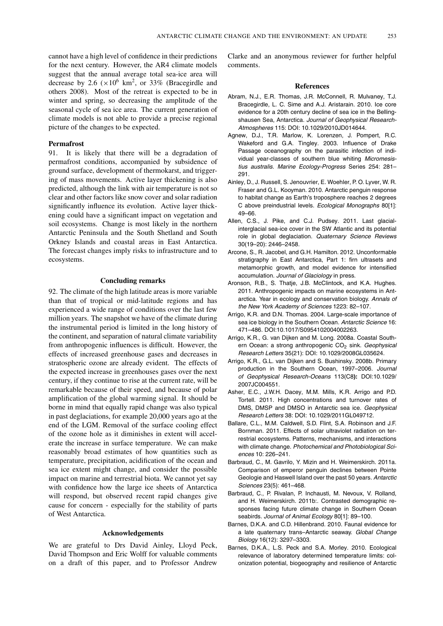cannot have a high level of confidence in their predictions for the next century. However, the AR4 climate models suggest that the annual average total sea-ice area will decrease by 2.6 ( $\times 10^6$  km<sup>2</sup>, or 33% (Bracegirdle and others 2008). Most of the retreat is expected to be in winter and spring, so decreasing the amplitude of the seasonal cycle of sea ice area. The current generation of climate models is not able to provide a precise regional picture of the changes to be expected.

### **Permafrost**

91. It is likely that there will be a degradation of permafrost conditions, accompanied by subsidence of ground surface, development of thermokarst, and triggering of mass movements. Active layer thickening is also predicted, although the link with air temperature is not so clear and other factors like snow cover and solar radiation significantly influence its evolution. Active layer thickening could have a significant impact on vegetation and soil ecosystems. Change is most likely in the northern Antarctic Peninsula and the South Shetland and South Orkney Islands and coastal areas in East Antarctica. The forecast changes imply risks to infrastructure and to ecosystems.

### **Concluding remarks**

92. The climate of the high latitude areas is more variable than that of tropical or mid-latitude regions and has experienced a wide range of conditions over the last few million years. The snapshot we have of the climate during the instrumental period is limited in the long history of the continent, and separation of natural climate variability from anthropogenic influences is difficult. However, the effects of increased greenhouse gases and decreases in stratospheric ozone are already evident. The effects of the expected increase in greenhouses gases over the next century, if they continue to rise at the current rate, will be remarkable because of their speed, and because of polar amplification of the global warming signal. It should be borne in mind that equally rapid change was also typical in past deglaciations, for example 20,000 years ago at the end of the LGM. Removal of the surface cooling effect of the ozone hole as it diminishes in extent will accelerate the increase in surface temperature. We can make reasonably broad estimates of how quantities such as temperature, precipitation, acidification of the ocean and sea ice extent might change, and consider the possible impact on marine and terrestrial biota. We cannot yet say with confidence how the large ice sheets of Antarctica will respond, but observed recent rapid changes give cause for concern - especially for the stability of parts of West Antarctica.

## **Acknowledgements**

We are grateful to Drs David Ainley, Lloyd Peck, David Thompson and Eric Wolff for valuable comments on a draft of this paper, and to Professor Andrew

Clarke and an anonymous reviewer for further helpful comments.

#### **References**

- Abram, N.J., E.R. Thomas, J.R. McConnell, R. Mulvaney, T.J. Bracegirdle, L. C. Sime and A.J. Aristarain. 2010. Ice core evidence for a 20th century decline of sea ice in the Bellingshausen Sea, Antarctica. Journal of Geophysical Research-Atmospheres 115: DOI: 10.1029/2010JD014644.
- Agnew, D.J., T.R. Marlow, K. Lorenzen, J. Pompert, R.C. Wakeford and G.A. Tingley. 2003. Influence of Drake Passage oceanography on the parasitic infection of individual year-classes of southern blue whiting Micromesistius australis. Marine Ecology-Progress Series 254: 281– 291.
- Ainley, D., J. Russell, S. Jenouvrier, E. Woehler, P. O. Lyver, W. R. Fraser and G.L. Kooyman. 2010. Antarctic penguin response to habitat change as Earth's troposphere reaches 2 degrees C above preindustrial levels. Ecological Monographs 80[1]: 49–66.
- Allen, C.S., J. Pike, and C.J. Pudsey. 2011. Last glacialinterglacial sea-ice cover in the SW Atlantic and its potential role in global deglaciation. Quaternary Science Reviews 30(19–20): 2446–2458.
- Arcone, S., R. Jacobel, and G.H. Hamilton. 2012. Unconformable stratigraphy in East Antarctica, Part 1: firn ultrasets and metamorphic growth, and model evidence for intensified accumulation. Journal of Glaciology in press.
- Aronson, R.B., S. Thatje, J.B. McClintock, and K.A. Hughes. 2011. Anthropogenic impacts on marine ecosystems in Antarctica. Year in ecology and conservation biology. Annals of the New York Academy of Sciences 1223: 82–107.
- Arrigo, K.R. and D.N. Thomas. 2004. Large-scale importance of sea ice biology in the Southern Ocean. Antarctic Science 16: 471–486. DOI:10.1017/S0954102004002263.
- Arrigo, K.R., G. van Dijken and M. Long. 2008a. Coastal Southern Ocean: a strong anthropogenic CO<sub>2</sub> sink. Geophysical Research Letters 35(21): DOI: 10.1029/2008GL035624.
- Arrigo, K.R., G.L. van Dijken and S. Bushinsky. 2008b. Primary production in the Southern Ocean, 1997–2006. Journal of Geophysical Research-Oceans 113(C8**):** DOI:10.1029/ 2007JC004551.
- Asher, E.C., J.W.H. Dacey, M.M. Mills, K.R. Arrigo and P.D. Tortell. 2011. High concentrations and turnover rates of DMS, DMSP and DMSO in Antarctic sea ice. Geophysical Research Letters 38: DOI: 10.1029/2011GL049712.
- Ballare, C.L., M.M. Caldwell, S.D. Flint, S.A. Robinson and J.F. Bornman. 2011. Effects of solar ultraviolet radiation on terrestrial ecosystems. Patterns, mechanisms, and interactions with climate change. Photochemical and Photobiological Sciences 10: 226–241.
- Barbraud, C., M. Gavrilo, Y. Mizin and H. Weimerskirch. 2011a. Comparison of emperor penguin declines between Pointe Geologie and Haswell Island over the past 50 years. Antarctic Sciences 23(5): 461–468.
- Barbraud, C., P. Rivalan, P. Inchausti, M. Nevoux, V. Rolland, and H. Weimerskirch. 2011b:. Contrasted demographic responses facing future climate change in Southern Ocean seabirds. Journal of Animal Ecology 80[1]: 89-100.
- Barnes, D.K.A. and C.D. Hillenbrand. 2010. Faunal evidence for a late quaternary trans–Antarctic seaway. Global Change Biology 16(12): 3297–3303.
- Barnes, D.K.A., L.S. Peck and S.A. Morley. 2010. Ecological relevance of laboratory determined temperature limits: colonization potential, biogeography and resilience of Antarctic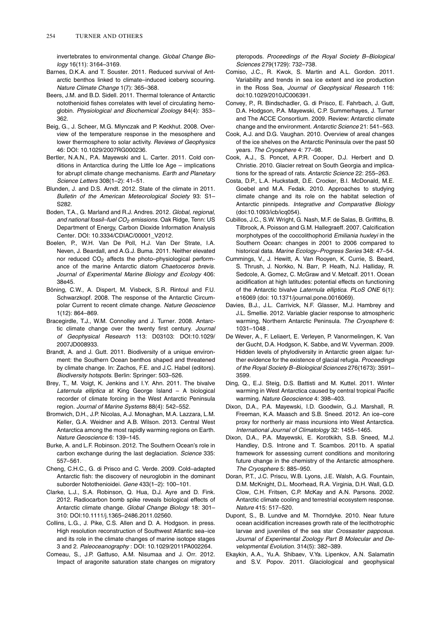invertebrates to environmental change. Global Change Biology 16(11): 3164–3169.

- Barnes, D.K.A. and T. Souster. 2011. Reduced survival of Antarctic benthos linked to climate–induced iceberg scouring. Nature Climate Change 1(7): 365–368.
- Beers, J.M. and B.D. Sidell. 2011. Thermal tolerance of Antarctic notothenioid fishes correlates with level of circulating hemoglobin. Physiological and Biochemical Zoology 84(4): 353– 362.
- Beig, G., J. Scheer, M.G. Mlynczak and P. Keckhut. 2008. Overview of the temperature response in the mesosphere and lower thermosphere to solar activity. Reviews of Geophysics 46: DOI: 10.1029/2007RG000236.
- Bertler, N.A.N., P.A. Mayewski and L. Carter. 2011. Cold conditions in Antarctica during the Little Ice Age – implications for abrupt climate change mechanisms. Earth and Planetary Science Letters 308(1–2): 41–51.
- Blunden, J. and D.S. Arndt. 2012. State of the climate in 2011. Bulletin of the American Meteorological Society 93: S1-S282.
- Boden, T.A., G. Marland and R.J. Andres. 2012. Global, regional, and national fossil-fuel  $CO<sub>2</sub>$  emissions. Oak Ridge, Tenn: US Department of Energy, Carbon Dioxide Information Analysis Center. DOI: 10.3334/CDIAC/00001\_V2012.
- Boelen, P., W.H. Van De Poll, H.J. Van Der Strate, I.A. Neven, J. Beardall, and A.G.J. Buma. 2011. Neither elevated nor reduced  $CO<sub>2</sub>$  affects the photo–physiological performance of the marine Antarctic diatom Chaetoceros brevis. Journal of Experimental Marine Biology and Ecology 406: 38e45.
- Böning, C.W., A. Dispert, M. Visbeck, S.R. Rintoul and F.U. Schwarzkopf. 2008. The response of the Antarctic Circumpolar Current to recent climate change. Nature Geoscience 1(12): 864–869.
- Bracegirdle, T.J., W.M. Connolley and J. Turner. 2008. Antarctic climate change over the twenty first century. Journal of Geophysical Research 113: D03103: DOI:10.1029/ 2007JD008933.
- Brandt, A. and J. Gutt. 2011. Biodiversity of a unique environment: the Southern Ocean benthos shaped and threatened by climate change. In: Zachos, F.E. and J.C. Habel (editors). Biodiversity hotspots. Berlin: Springer: 503–526.
- Brey, T., M. Voigt, K. Jenkins and I.Y. Ahn. 2011. The bivalve Laternula elliptica at King George Island – A biological recorder of climate forcing in the West Antarctic Peninsula region. Journal of Marine Systems 88(4): 542–552.
- Bromwich, D.H., J.P. Nicolas, A.J. Monaghan, M.A. Lazzara, L.M. Keller, G.A. Weidner and A.B. Wilson. 2013. Central West Antarctica among the most rapidly warming regions on Earth. Nature Geoscience 6: 139–145.
- Burke, A. and L.F. Robinson. 2012. The Southern Ocean's role in carbon exchange during the last deglaciation. Science 335: 557–561.
- Cheng, C.H.C., G. di Prisco and C. Verde. 2009. Cold–adapted Antarctic fish: the discovery of neuroglobin in the dominant suborder Notothenioidei. Gene 433(1–2): 100–101.
- Clarke, L.J., S.A. Robinson, Q. Hua, D.J. Ayre and D. Fink. 2012. Radiocarbon bomb spike reveals biological effects of Antarctic climate change. Global Change Biology 18: 301– 310: DOI:10.1111/j.1365–2486.2011.02560.
- Collins, L.G., J. Pike, C.S. Allen and D. A. Hodgson. in press. High resolution reconstruction of Southwest Atlantic sea–ice and its role in the climate changes of marine isotope stages 3 and 2. Paleoceanography : DOI: 10.1029/2011PA002264.
- Comeau, S., J.P. Gattuso, A.M. Nisumaa and J. Orr. 2012. Impact of aragonite saturation state changes on migratory

pteropods. Proceedings of the Royal Society B–Biological Sciences 279(1729): 732–738.

- Comiso, J.C., R. Kwok, S. Martin and A.L. Gordon. 2011. Variability and trends in sea ice extent and ice production in the Ross Sea, Journal of Geophysical Research 116: doi:10.1029/2010JC006391.
- Convey, P., R. Bindschadler, G. di Prisco, E. Fahrbach, J. Gutt, D.A. Hodgson, P.A. Mayewski, C.P. Summerhayes, J. Turner and The ACCE Consortium. 2009. Review: Antarctic climate change and the environment. Antarctic Science 21: 541–563.
- Cook, A.J. and D.G. Vaughan. 2010. Overview of areal changes of the ice shelves on the Antarctic Peninsula over the past 50 years. The Cryosphere 4: 77–98.
- Cook, A.J., S. Poncet, A.P.R. Cooper, D.J. Herbert and D. Christie. 2010. Glacier retreat on South Georgia and implications for the spread of rats. Antarctic Science 22: 255–263.
- Costa, D.P., L.A. Huckstadt, D.E. Crocker, B.I. McDonald, M.E. Goebel and M.A. Fedak. 2010. Approaches to studying climate change and its role on the habitat selection of Antarctic pinnipeds. Integrative and Comparative Biology (doi:10.1093/icb/icq054).
- Cubillos, J.C., S.W. Wright, G. Nash, M.F. de Salas, B. Griffiths, B. Tilbrook, A. Poisson and G.M. Hallegraeff. 2007. Calcification morphotypes of the coccolithophorid Emiliania huxleyi in the Southern Ocean: changes in 2001 to 2006 compared to historical data. Marine Ecology–Progress Series 348: 47–54.
- Cummings, V., J. Hewitt, A. Van Rooyen, K. Currie, S. Beard, S. Thrush, J. Norkko, N. Barr, P. Heath, N.J. Halliday, R. Sedcole, A. Gomez, C. McGraw and V. Metcalf. 2011. Ocean acidification at high latitudes: potential effects on functioning of the Antarctic bivalve Laternula elliptica. PLoS ONE 6(1): e16069 (doi: 10.1371/journal.pone.0016069).
- Davies, B.J., J.L. Carrivick, N.F. Glasser, M.J. Hambrey and J.L. Smellie. 2012. Variable glacier response to atmospheric warming, Northern Antarctic Peninsula. The Cryosphere 6: 1031–1048 .
- De Wever, A., F. Leliaert, E. Verleyen, P. Vanormelingen, K. Van der Gucht, D.A. Hodgson, K. Sabbe, and W. Vyverman. 2009. Hidden levels of phylodiversity in Antarctic green algae: further evidence for the existence of glacial refugia. Proceedings of the Royal Society B–Biological Sciences 276(1673): 3591– 3599.
- Ding, Q., E.J. Steig, D.S. Battisti and M. Kuttel. 2011. Winter warming in West Antarctica caused by central tropical Pacific warming. Nature Geoscience 4: 398–403.
- Dixon, D.A., P.A. Mayewski, I.D. Goodwin, G.J. Marshall, R. Freeman, K.A. Maasch and S.B. Sneed. 2012. An ice–core proxy for northerly air mass incursions into West Antarctica. International Journal of Climatology 32: 1455–1465.
- Dixon, D.A., P.A. Mayewski, E. Korotkikh, S.B. Sneed, M.J. Handley, D.S. Introne and T. Scambos. 2011b. A spatial framework for assessing current conditions and monitoring future change in the chemistry of the Antarctic atmosphere. The Cryosphere 5: 885–950.
- Doran, P.T., J.C. Priscu, W.B. Lyons, J.E. Walsh, A.G. Fountain, D.M. McKnight, D.L. Moorhead, R.A. Virginia, D.H. Wall, G.D. Clow, C.H. Fritsen, C.P. McKay and A.N. Parsons. 2002. Antarctic climate cooling and terrestrial ecosystem response. Nature 415: 517–520.
- Dupont, S., B. Lundve and M. Thorndyke. 2010. Near future ocean acidification increases growth rate of the lecithotrophic larvae and juveniles of the sea star Crossaster papposus. Journal of Experimental Zoology Part B Molecular and Developmental Evolution. 314(5): 382–389.
- Ekaykin, A.A., Yu.A. Shibaev, V.Ya. Lipenkov, A.N. Salamatin and S.V. Popov. 2011. Glaciological and geophysical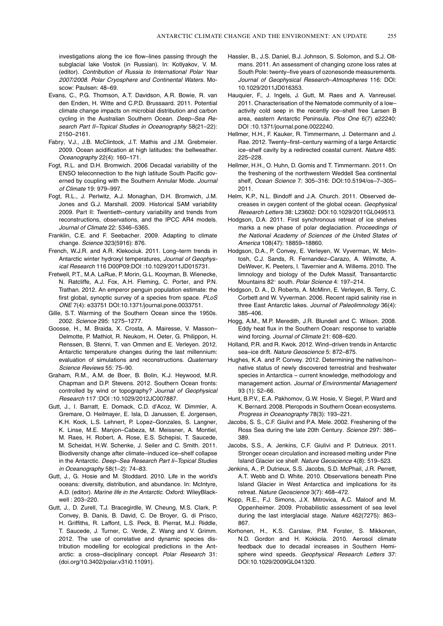investigations along the ice flow–lines passing through the subglacial lake Vostok (in Russian). In: Kotlyakov, V. M. (editor). Contribution of Russia to International Polar Year 2007/2008. Polar Cryosphere and Continental Waters. Moscow: Paulsen: 48–69.

- Evans, C., P.G. Thomson, A.T. Davidson, A.R. Bowie, R. van den Enden, H. Witte and C.P.D. Brussaard. 2011. Potential climate change impacts on microbial distribution and carbon cycling in the Australian Southern Ocean. Deep-Sea Research Part II-Topical Studies in Oceanography 58(21-22): 2150–2161.
- Fabry, V.J., J.B. McClintock, J.T. Mathis and J.M. Grebmeier. 2009. Ocean acidification at high latitudes: the bellweather. Oceanography 22(4): 160–171.
- Fogt, R.L. and D.H. Bromwich. 2006 Decadal variability of the ENSO teleconnection to the high latitude South Pacific governed by coupling with the Southern Annular Mode. Journal of Climate 19: 979–997.
- Fogt, R.L., J. Perlwitz, A.J. Monaghan, D.H. Bromwich, J.M. Jones and G.J. Marshall. 2009. Historical SAM variability 2009. Part II: Twentieth–century variability and trends from reconstructions, observations, and the IPCC AR4 models. Journal of Climate 22: 5346–5365.
- Franklin, C.E. and F. Seebacher. 2009. Adapting to climate change. Science 323(5916): 876.
- French, W.J.R. and A.R. Klekociuk. 2011. Long–term trends in Antarctic winter hydroxyl temperatures, Journal of Geophysical Research 116 D00P09:DOI :10.1029/2011JD015731.
- Fretwell, P.T., M.A. LaRue, P. Morin, G.L. Kooyman, B. Wienecke, N. Ratcliffe, A.J. Fox, A.H. Fleming, C. Porter, and P.N. Trathan. 2012. An emperor penguin population estimate: the first global, synoptic survey of a species from space. PLoS ONE 7(4): e33751 DOI:10.1371/journal.pone.0033751.
- Gille, S.T. Warming of the Southern Ocean since the 1950s. 2002. Science 295: 1275–1277.
- Goosse, H., M. Braida, X. Crosta, A. Mairesse, V. Masson– Delmotte, P. Mathiot, R. Neukom, H. Oeter, G. Philippon, H. Renssen, B. Stenni, T. van Ommen and E. Verleyen. 2012. Antarctic temperature changes during the last millennium: evaluation of simulations and reconstructions. Quaternary Science Reviews 55: 75–90.
- Graham, R.M., A.M. de Boer, B. Bolin, K.J. Heywood, M.R. Chapman and D.P. Stevens. 2012. Southern Ocean fronts: controlled by wind or topography? Journal of Geophysical Research 117 :DOI :10.1029/2012JC007887.
- Gutt, J., I. Barratt, E. Domack, C.D. d'Acoz, W. Dimmler, A. Gremare, O. Heilmayer, E. Isla, D. Janussen, E. Jorgensen, K.H. Kock, L.S. Lehnert, P. Lopez–Gonzales, S. Langner, K. Linse, M.E. Manjon–Cabeza, M. Meissner, A. Montiel, M. Raes, H. Robert, A. Rose, E.S. Schepisi, T. Saucede, M. Scheidat, H.W. Schenke, J. Seiler and C. Smith. 2011. Biodiversity change after climate–induced ice–shelf collapse in the Antarctic. Deep–Sea Research Part Ii–Topical Studies in Oceanography 58(1–2): 74–83.
- Gutt, J., G. Hosie and M. Stoddard. 2010. Life in the world's oceans: diversity, distribution, and abundance. In: McIntyre, A.D. (editor). Marine life in the Antarctic. Oxford: WileyBlackwell : 203–220.
- Gutt, J., D. Zurell, T.J. Bracegirdle, W. Cheung, M.S. Clark, P. Convey, B. Danis, B. David, C. De Broyer, G. di Prisco, H. Griffiths, R. Laffont, L.S. Peck, B. Pierrat, M.J. Riddle, T. Saucede, J. Turner, C. Verde, Z. Wang and V. Grimm. 2012. The use of correlative and dynamic species distribution modelling for ecological predictions in the Antarctic: a cross–disciplinary concept. Polar Research 31: (doi.org/10.3402/polar.v31i0.11091).
- Hassler, B., J.S. Daniel, B.J. Johnson, S. Solomon, and S.J. Oltmans. 2011. An assessment of changing ozone loss rates at South Pole: twenty–five years of ozonesonde measurements. Journal of Geophysical Research–Atmospheres 116: DOI: 10.1029/2011JD016353.
- Hauquier, F., J. Ingels, J. Gutt, M. Raes and A. Vanreusel. 2011. Characterisation of the Nematode community of a low– activity cold seep in the recently ice–shelf free Larsen B area, eastern Antarctic Peninsula. Plos One 6(7) e22240: DOI :10.1371/journal.pone.0022240.
- Hellmer, H.H., F. Kauker, R. Timmermann, J. Determann and J. Rae. 2012. Twenty–first–century warming of a large Antarctic ice–shelf cavity by a redirected coastal current. Nature 485: 225–228.
- Hellmer, H.H., O. Huhn, D. Gomis and T. Timmermann. 2011. On the freshening of the northwestern Weddell Sea continental shelf, Ocean Science 7: 305–316: DOI:10.5194/os–7–305– 2011.
- Helm, K.P., N.L. Bindoff and J.A. Church. 2011. Observed decreases in oxygen content of the global ocean. Geophysical Research Letters 38: L23602: DOI:10.1029/2011GL049513.
- Hodgson, D.A. 2011. First synchronous retreat of ice shelves marks a new phase of polar deglaciation. Proceedings of the National Academy of Sciences of the United States of America 108(47): 18859–18860.
- Hodgson, D.A., P. Convey, E. Verleyen, W. Vyverman, W. McIntosh, C.J. Sands, R. Fernandez–Carazo, A. Wilmotte, A. DeWever, K. Peeters, I. Tavernier and A. Willems. 2010. The limnology and biology of the Dufek Massif, Transantarctic Mountains 82◦ south. Polar Science 4: 197–214.
- Hodgson, D. A., D. Roberts, A. McMinn, E. Verleyen, B. Terry, C. Corbett and W. Vyverman. 2006. Recent rapid salinity rise in three East Antarctic lakes. Journal of Paleolimnology 36(4): 385–406.
- Hogg, A.M., M.P. Meredith, J.R. Blundell and C. Wilson. 2008. Eddy heat flux in the Southern Ocean: response to variable wind forcing. Journal of Climate 21: 608–620.
- Holland, P.R. and R. Kwok. 2012. Wind–driven trends in Antarctic sea–ice drift. Nature Geoscience 5: 872–875.
- Hughes, K.A. and P. Convey. 2012. Determining the native/non– native status of newly discovered terrestrial and freshwater species in Antarctica – current knowledge, methodology and management action. Journal of Environmental Management 93 (1): 52–66.
- Hunt, B.P.V., E.A. Pakhomov, G.W. Hosie, V. Siegel, P. Ward and K. Bernard. 2008. Pteropods in Southern Ocean ecosystems. Progress in Oceanography 78(3): 193–221.
- Jacobs, S. S., C.F. Giulivi and P.A. Mele. 2002. Freshening of the Ross Sea during the late 20th Century. Science 297: 386– 389.
- Jacobs, S.S., A. Jenkins, C.F. Giulivi and P. Dutrieux. 2011. Stronger ocean circulation and increased melting under Pine Island Glacier ice shelf. Nature Geoscience 4(8): 519–523.
- Jenkins, A., P. Dutrieux, S.S. Jacobs, S.D. McPhail, J.R. Perrett, A.T. Webb and D. White. 2010. Observations beneath Pine Island Glacier in West Antarctica and implications for its retreat. Nature Geoscience 3(7): 468–472.
- Kopp, R.E., F.J. Simons, J.X. Mitrovica, A.C. Maloof and M. Oppenheimer. 2009. Probabilistic assessment of sea level during the last interglacial stage. Nature 462(7275): 863– 867.
- Korhonen, H., K.S. Carslaw, P.M. Forster, S. Mikkonen, N.D. Gordon and H. Kokkola. 2010. Aerosol climate feedback due to decadal increases in Southern Hemisphere wind speeds. Geophysical Research Letters 37: DOI:10.1029/2009GL041320.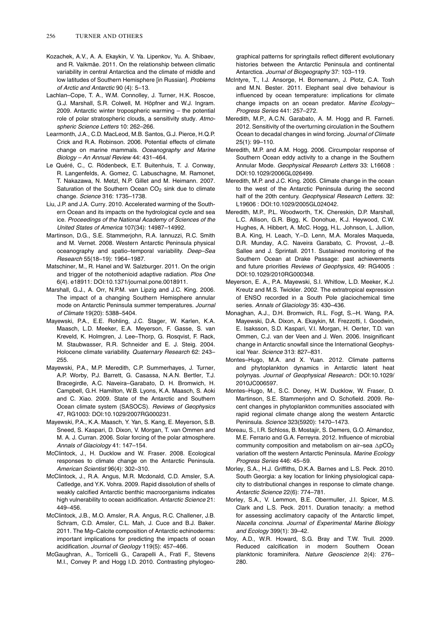- Kozachek, A.V., A. A. Ekaykin, V. Ya. Lipenkov, Yu. A. Shibaev, and R. Vaikmäe. 2011. On the relationship between climatic variability in central Antarctica and the climate of middle and low latitudes of Southern Hemisphere [in Russian]. Problems of Arctic and Antarctic 90 (4): 5–13.
- Lachlan–Cope, T. A., W.M. Connolley, J. Turner, H.K. Roscoe, G.J. Marshall, S.R. Colwell, M. Höpfner and W.J. Ingram. 2009. Antarctic winter tropospheric warming – the potential role of polar stratospheric clouds, a sensitivity study. Atmospheric Science Letters 10: 262–266.
- Learmonth, J.A., C.D. MacLeod, M.B. Santos, G.J. Pierce, H.Q.P. Crick and R.A. Robinson. 2006. Potential effects of climate change on marine mammals. Oceanography and Marine Biology – An Annual Review 44: 431–464.
- Le Quéré, C., C. Rödenbeck, E.T. Buitenhuis, T. J. Conway, R. Langenfelds, A. Gomez, C. Labuschagne, M. Ramonet, T. Nakazawa, N. Metzl, N.P. Gillet and M. Heimann. 2007. Saturation of the Southern Ocean  $CO<sub>2</sub>$  sink due to climate change. Science 316: 1735–1738.
- Liu, J.P. and J.A. Curry. 2010. Accelerated warming of the Southern Ocean and its impacts on the hydrological cycle and sea ice. Proceedings of the National Academy of Sciences of the United States of America 107(34): 14987–14992.
- Martinson, D.G., S.E. Stammerjohn, R.A. Iannuzzi, R.C. Smith and M. Vernet. 2008. Western Antarctic Peninsula physical oceanography and spatio–temporal variability. Deep–Sea Research 55(18–19): 1964–1987.
- Matschiner, M., R. Hanel and W. Salzburger. 2011. On the origin and trigger of the notothenioid adaptive radiation. Plos One 6(4). e18911: DOI:10.1371/journal.pone.0018911.
- Marshall, G.J., A. Orr, N.P.M. van Lipzig and J.C. King. 2006. The impact of a changing Southern Hemisphere annular mode on Antarctic Peninsula summer temperatures. Journal of Climate 19(20): 5388–5404.
- Mayewski, P.A., E.E. Rohling, J.C. Stager, W. Karlen, K.A. Maasch, L.D. Meeker, E.A. Meyerson, F. Gasse, S. van Kreveld, K. Holmgren, J. Lee–Thorp, G. Rosqvist, F. Rack, M. Staubwasser, R.R. Schneider and E. J. Steig. 2004. Holocene climate variability. Quaternary Research 62: 243– 255.
- Mayewski, P.A., M.P. Meredith, C.P. Summerhayes, J. Turner, A.P. Worby, P.J. Barrett, G. Casassa, N.A.N. Bertler, T.J. Bracegirdle, A.C. Naveira–Garabato, D. H. Bromwich, H. Campbell, G.H. Hamilton, W.B. Lyons, K.A. Maasch, S. Aoki and C. Xiao. 2009. State of the Antarctic and Southern Ocean climate system (SASOCS). Reviews of Geophysics 47, RG1003: DOI:10.1029/2007RG000231.
- Mayewski, P.A., K.A. Maasch, Y. Yan, S. Kang, E. Meyerson, S.B. Sneed, S. Kaspari, D. Dixon, V. Morgan, T. van Ommen and M. A. J. Curran. 2006. Solar forcing of the polar atmosphere. Annals of Glaciology 41: 147–154.
- McClintock, J., H. Ducklow and W. Fraser. 2008. Ecological responses to climate change on the Antarctic Peninsula. American Scientist 96(4): 302–310.
- McClintock, J., R.A. Angus, M.R. Mcdonald, C.D. Amsler, S.A. Catledge, and Y.K. Vohra. 2009. Rapid dissolution of shells of weakly calcified Antarctic benthic macroorganisms indicates high vulnerability to ocean acidification. Antarctic Science 21: 449–456.
- McClintock, J.B., M.O. Amsler, R.A. Angus, R.C. Challener, J.B. Schram, C.D. Amsler, C.L. Mah, J. Cuce and B.J. Baker. 2011. The Mg–Calcite composition of Antarctic echinoderms: important implications for predicting the impacts of ocean acidification. Journal of Geology 119(5): 457–466.
- McGaughran, A., Torricelli G., Carapelli A., Frati F., Stevens M.I., Convey P. and Hogg I.D. 2010. Contrasting phylogeo-

graphical patterns for springtails reflect different evolutionary histories between the Antarctic Peninsula and continental Antarctica. Journal of Biogeography 37: 103–119.

- McIntyre, T., I.J. Ansorge, H. Bornemann, J. Plotz, C.A. Tosh and M.N. Bester. 2011. Elephant seal dive behaviour is influenced by ocean temperature: implications for climate change impacts on an ocean predator. Marine Ecology-Progress Series 441: 257–272.
- Meredith, M.P., A.C.N. Garabato, A. M. Hogg and R. Farneti. 2012. Sensitivity of the overturning circulation in the Southern Ocean to decadal changes in wind forcing. Journal of Climate 25(1): 99–110.
- Meredith, M.P. and A.M. Hogg. 2006. Circumpolar response of Southern Ocean eddy activity to a change in the Southern Annular Mode. Geophysical Research Letters 33: L16608 : DOI:10.1029/2006GL026499.
- Meredith, M.P. and J.C. King. 2005. Climate change in the ocean to the west of the Antarctic Peninsula during the second half of the 20th century. Geophysical Research Letters. 32: L19606 : DOI:10.1029/2005GL024042.
- Meredith, M.P., P.L. Woodworth, T.K. Chereskin, D.P. Marshall, L.C. Allison, G.R. Bigg, K. Donohue, K.J. Heywood, C.W. Hughes, A. Hibbert, A. McC. Hogg, H.L. Johnson, L. Jullion, B.A. King, H. Leach, Y.–D. Lenn, M.A. Morales Maqueda, D.R. Munday, A.C. Naveira Garabato, C. Provost, J.–B. Sallee and J. Sprintall. 2011. Sustained monitoring of the Southern Ocean at Drake Passage: past achievements and future priorities Reviews of Geophysics, 49: RG4005 : DOI:10.1029/2010RG000348.
- Meyerson, E. A., P.A. Mayewski, S.I. Whitlow, L.D. Meeker, K.J. Kreutz and M.S. Twickler. 2002. The extratropical expression of ENSO recorded in a South Pole glaciochemical time series. Annals of Glaciology 35: 430–436.
- Monaghan, A.J., D.H. Bromwich, R.L. Fogt, S.–H. Wang, P.A. Mayewski, D.A. Dixon, A. Ekaykin, M. Frezzotti, I. Goodwin, E. Isaksson, S.D. Kaspari, V.I. Morgan, H. Oerter, T.D. van Ommen, C.J. van der Veen and J. Wen. 2006. Insignificant change in Antarctic snowfall since the International Geophysical Year. Science 313: 827–831.
- Montes–Hugo, M.A. and X. Yuan. 2012. Climate patterns and phytoplankton dynamics in Antarctic latent heat polynyas. Journal of Geophysical Research.: DOI:10.1029/ 2010JC006597.
- Montes–Hugo, M., S.C. Doney, H.W. Ducklow, W. Fraser, D. Martinson, S.E. Stammerjohn and O. Schofield. 2009. Recent changes in phytoplankton communities associated with rapid regional climate change along the western Antarctic Peninsula. Science 323(5920): 1470–1473.
- Moreau, S., I.R. Schloss, B. Mostajir, S. Demers, G.O. Almandoz, M.E. Ferrario and G.A. Ferreyra. 2012. Influence of microbial community composition and metabolism on air-sea  $\Delta pCO_2$ variation off the western Antarctic Peninsula. Marine Ecology Progress Series 446: 45–59.
- Morley, S.A., H.J. Griffiths, D.K.A. Barnes and L.S. Peck. 2010. South Georgia: a key location for linking physiological capacity to distributional changes in response to climate change. Antarctic Science 22(6): 774–781.
- Morley, S.A., V. Lemmon, B.E. Obermuller, J.I. Spicer, M.S. Clark and L.S. Peck. 2011. Duration tenacity: a method for assessing acclimatory capacity of the Antarctic limpet, Nacella concinna. Journal of Experimental Marine Biology and Ecology 399(1): 39–42.
- Moy, A.D., W.R. Howard, S.G. Bray and T.W. Trull. 2009. Reduced calcification in modern Southern Ocean planktonic foraminifera. Nature Geoscience 2(4): 276– 280.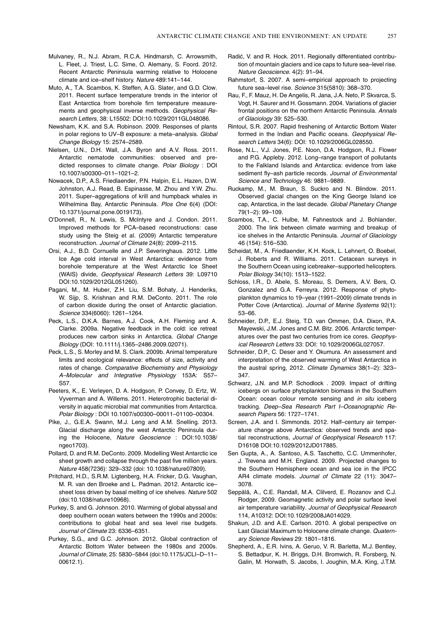- Mulvaney, R., N.J. Abram, R.C.A. Hindmarsh, C. Arrowsmith, L. Fleet, J. Triest, L.C. Sime, O. Alemany, S. Foord. 2012. Recent Antarctic Peninsula warming relative to Holocene climate and ice–shelf history. Nature 489:141–144.
- Muto, A., T.A. Scambos, K. Steffen, A.G. Slater, and G.D. Clow. 2011. Recent surface temperature trends in the interior of East Antarctica from borehole firn temperature measurements and geophysical inverse methods. Geophysical Research Letters, 38: L15502: DOI:10.1029/2011GL048086.
- Newsham, K.K. and S.A. Robinson. 2009. Responses of plants in polar regions to UV–B exposure: a meta–analysis. Global Change Biology 15: 2574–2589.
- Nielsen, U.N., D.H. Wall, J.A. Byron and A.V. Ross. 2011. Antarctic nematode communities: observed and predicted responses to climate change. Polar Biology : DOI 10.1007/s00300–011–1021–2.
- Nowacek, D.P., A.S. Friedlaender, P.N. Halpin, E.L. Hazen, D.W. Johnston, A.J. Read, B. Espinasse, M. Zhou and Y.W. Zhu. 2011. Super–aggregations of krill and humpback whales in Wilhelmina Bay, Antarctic Peninsula. Plos One 6(4) (DOI: 10.1371/journal.pone.0019173).
- O'Donnell, R., N. Lewis, S. McIntyre and J. Condon. 2011. Improved methods for PCA–based reconstructions: case study using the Steig et al. (2009) Antarctic temperature reconstruction. Journal of Climate 24(8): 2099–2115.
- Orsi, A.J., B.D. Cornuelle and J.P. Severinghaus. 2012. Little Ice Age cold interval in West Antarctica: evidence from borehole temperature at the West Antarctic Ice Sheet (WAIS) divide, Geophysical Research Letters 39: L09710 DOI:10.1029/2012GL051260).
- Pagani, M., M. Huber, Z.H. Liu, S.M. Bohaty, J. Henderiks, W. Sijp, S. Krishnan and R.M. DeConto. 2011. The role of carbon dioxide during the onset of Antarctic glaciation. Science 334(6060): 1261–1264.
- Peck, L.S., D.K.A. Barnes, A.J. Cook, A.H. Fleming and A. Clarke. 2009a. Negative feedback in the cold: ice retreat produces new carbon sinks in Antarctica. Global Change Biology (DOI: 10.1111/j.1365–2486.2009.02071).
- Peck, L.S., S. Morley and M. S. Clark. 2009b. Animal temperature limits and ecological relevance: effects of size, activity and rates of change. Comparative Biochemistry and Physiology A–Molecular and Integrative Physiology 153A: S57– S57.
- Peeters, K., E. Verleyen, D. A. Hodgson, P. Convey, D. Ertz, W. Vyverman and A. Willems. 2011. Heterotrophic bacterial diversity in aquatic microbial mat communities from Antarctica. Polar Biology : DOI 10.1007/s00300–00011–01100–00304.
- Pike, J., G.E.A. Swann, M.J. Leng and A.M. Snelling. 2013. Glacial discharge along the west Antarctic Peninsula during the Holocene, Nature Geoscience : DOI:10.1038/ ngeo1703).
- Pollard, D. and R.M. DeConto. 2009. Modelling West Antarctic ice sheet growth and collapse through the past five million years. Nature 458(7236): 329–332 (doi: 10.1038/nature07809).
- Pritchard, H.D., S.R.M. Ligtenberg, H.A. Fricker, D.G. Vaughan, M. R. van den Broeke and L. Padman. 2012. Antarctic ice– sheet loss driven by basal melting of ice shelves. Nature 502 (doi:10.1038/nature10968).
- Purkey, S. and G. Johnson. 2010. Warming of global abyssal and deep southern ocean waters between the 1990s and 2000s: contributions to global heat and sea level rise budgets. Journal of Climate 23: 6336–6351.
- Purkey, S.G., and G.C. Johnson. 2012. Global contraction of Antarctic Bottom Water between the 1980s and 2000s. Journal of Climate, 25: 5830–5844 (doi:10.1175/JCLI–D–11– 00612.1).
- Radić, V. and R. Hock. 2011. Regionally differentiated contribution of mountain glaciers and ice caps to future sea–level rise. Nature Geoscience. 4(2): 91–94.
- Rahmstorf, S. 2007. A semi–empirical approach to projecting future sea–level rise. Science 315(5810): 368–370.
- Rau, F., F. Mauz, H. De Angelis, R. Jana, J.A. Neto, P. Skvarca, S. Vogt, H. Saurer and H. Gossmann. 2004. Variations of glacier frontal positions on the northern Antarctic Peninsula. Annals of Glaciology 39: 525–530.
- Rintoul, S.R. 2007. Rapid freshening of Antarctic Bottom Water formed in the Indian and Pacific oceans. Geophysical Research Letters 34(6): DOI: 10.1029/2006GL028550.
- Rose, N.L., V.J. Jones, P.E. Noon, D.A. Hodgson, R.J. Flower and P.G. Appleby. 2012. Long–range transport of pollutants to the Falkland Islands and Antarctica: evidence from lake sediment fly–ash particle records. Journal of Environmental Science and Technology 46: 9881–9889.
- Ruckamp, M., M. Braun, S. Suckro and N. Blindow. 2011. Observed glacial changes on the King George Island ice cap, Antarctica, in the last decade. Global Planetary Change 79(1–2): 99–109.
- Scambos, T.A., C. Hulbe, M. Fahnestock and J. Bohlander. 2000. The link between climate warming and breakup of ice shelves in the Antarctic Peninsula. Journal of Glaciology 46 (154): 516–530.
- Scheidat, M., A. Friedlaender, K.H. Kock, L. Lehnert, O. Boebel, J. Roberts and R. Williams. 2011. Cetacean surveys in the Southern Ocean using icebreaker–supported helicopters. Polar Biology 34(10): 1513–1522.
- Schloss, I.R., D. Abele, S. Moreau, S. Demers, A.V. Bers, O. Gonzalez and G.A. Ferreyra. 2012. Response of phytoplankton dynamics to 19–year (1991–2009) climate trends in Potter Cove (Antarctica). Journal of Marine Systems 92(1): 53–66.
- Schneider, D.P., E.J. Steig, T.D. van Ommen, D.A. Dixon, P.A. Mayewski, J.M. Jones and C.M. Bitz. 2006. Antarctic temperatures over the past two centuries from ice cores. Geophysical Research Letters 33: DOI: 10.1029/2006GL027057.
- Schneider, D.P., C. Deser and Y. Okumura. An assessment and interpretation of the observed warming of West Antarctica in the austral spring, 2012. Climate Dynamics 38(1-2): 323-347.
- Schwarz, J.N. and M.P. Schodlock . 2009. Impact of drifting icebergs on surface phytoplankton biomass in the Southern Ocean: ocean colour remote sensing and in situ iceberg tracking. Deep–Sea Research Part I–Oceanographic Research Papers 56: 1727–1741.
- Screen, J.A. and I. Simmonds. 2012. Half–century air temperature change above Antarctica: observed trends and spatial reconstructions, Journal of Geophysical Research 117: D16108 DOI:10.1029/2012JD017885.
- Sen Gupta, A., A. Santoso, A.S. Taschetto, C.C. Ummenhofer, J. Trevena and M.H. England. 2009. Projected changes to the Southern Hemisphere ocean and sea ice in the IPCC AR4 climate models. Journal of Climate 22 (11): 3047– 3078.
- Seppälä, A., C.E. Randall, M.A. Clilverd, E. Rozanov and C.J. Rodger, 2009. Geomagnetic activity and polar surface level air temperature variability. Journal of Geophysical Research 114, A10312: DOI:10.1029/2008JA014029.
- Shakun, J.D. and A.E. Carlson. 2010. A global perspective on Last Glacial Maximum to Holocene climate change. Quaternary Science Reviews 29: 1801–1816.
- Shepherd, A., E.R. Ivins, A. Geruo, V. R. Barletta, M.J. Bentley, S. Bettadpur, K. H. Briggs, D.H. Bromwich, R. Forsberg, N. Galin, M. Horwath, S. Jacobs, I. Joughin, M.A. King, J.T.M.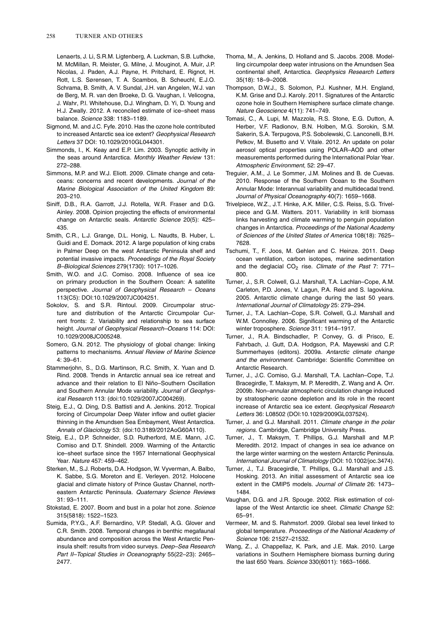Lenaerts, J. Li, S.R.M. Ligtenberg, A. Luckman, S.B. Luthcke, M. McMillan, R. Meister, G. Milne, J. Mouginot, A. Muir, J.P. Nicolas, J. Paden, A.J. Payne, H. Pritchard, E. Rignot, H. Rott, L.S. Sørensen, T. A. Scambos, B. Scheuchl, E.J.O. Schrama, B. Smith, A. V. Sundal, J.H. van Angelen, W.J. van de Berg, M. R. van den Broeke, D. G. Vaughan, I. Velicogna, J. Wahr, P.l. Whitehouse, D.J. Wingham, D. Yi, D. Young and H.J. Zwally. 2012. A reconciled estimate of ice–sheet mass balance. Science 338: 1183–1189.

- Sigmond, M. and J.C. Fyfe. 2010. Has the ozone hole contributed to increased Antarctic sea ice extent? Geophysical Research Letters 37 DOI: 10.1029/2010GL044301.
- Simmonds, I., K. Keay and E.P. Lim. 2003. Synoptic activity in the seas around Antarctica. Monthly Weather Review 131: 272–288.
- Simmons, M.P. and W.J. Eliott. 2009. Climate change and cetaceans: concerns and recent developments. Journal of the Marine Biological Association of the United Kingdom 89: 203–210.
- Siniff, D.B., R.A. Garrott, J.J. Rotella, W.R. Fraser and D.G. Ainley. 2008. Opinion projecting the effects of environmental change on Antarctic seals. Antarctic Science 20(5): 425– 435.
- Smith, C.R., L.J. Grange, D.L. Honig, L. Naudts, B. Huber, L. Guidi and E. Domack. 2012. A large population of king crabs in Palmer Deep on the west Antarctic Peninsula shelf and potential invasive impacts. Proceedings of the Royal Society B–Biological Sciences 279(1730): 1017–1026.
- Smith, W.O. and J.C. Comiso. 2008. Influence of sea ice on primary production in the Southern Ocean: A satellite perspective. Journal of Geophysical Research – Oceans 113(C5): DOI:10.1029/2007JC004251.
- Sokolov, S. and S.R. Rintoul. 2009. Circumpolar structure and distribution of the Antarctic Circumpolar Current fronts: 2. Variability and relationship to sea surface height. Journal of Geophysical Research–Oceans 114: DOI: 10.1029/2008JC005248.
- Somero, G.N. 2012. The physiology of global change: linking patterns to mechanisms. Annual Review of Marine Science 4: 39–61.
- Stammerjohn, S., D.G. Martinson, R.C. Smith, X. Yuan and D. Rind. 2008. Trends in Antarctic annual sea ice retreat and advance and their relation to El Niño–Southern Oscillation and Southern Annular Mode variability. Journal of Geophysical Research 113: (doi:10.1029/2007JC004269).
- Steig, E.J., Q. Ding, D.S. Battisti and A. Jenkins. 2012. Tropical forcing of Circumpolar Deep Water inflow and outlet glacier thinning in the Amundsen Sea Embayment, West Antarctica. Annals of Glaciology 53: (doi:10.3189/2012AoG60A110).
- Steig, E.J., D.P. Schneider, S.D. Rutherford, M.E. Mann, J.C. Comiso and D.T. Shindell. 2009. Warming of the Antarctic ice–sheet surface since the 1957 International Geophysical Year. Nature 457: 459–462.
- Sterken, M., S.J. Roberts, D.A. Hodgson, W. Vyverman, A. Balbo, K. Sabbe, S.G. Moreton and E. Verleyen. 2012. Holocene glacial and climate history of Prince Gustav Channel, northeastern Antarctic Peninsula. Quaternary Science Reviews 31: 93–111.
- Stokstad, E. 2007. Boom and bust in a polar hot zone. Science 315(5818): 1522–1523.
- Sumida, P.Y.G., A.F. Bernardino, V.P. Stedall, A.G. Glover and C.R. Smith. 2008. Temporal changes in benthic megafaunal abundance and composition across the West Antarctic Peninsula shelf: results from video surveys. Deep–Sea Research Part II–Topical Studies in Oceanography 55(22–23): 2465– 2477.
- Thoma, M., A. Jenkins, D. Holland and S. Jacobs. 2008. Modelling circumpolar deep water intrusions on the Amundsen Sea continental shelf, Antarctica. Geophysics Research Letters 35(18): 18–9–2008.
- Thompson, D.W.J., S. Solomon, P.J. Kushner, M.H. England, K.M. Grise and D.J. Karoly. 2011. Signatures of the Antarctic ozone hole in Southern Hemisphere surface climate change. Nature Geoscience 4(11): 741–749.
- Tomasi, C., A. Lupi, M. Mazzola, R.S. Stone, E.G. Dutton, A. Herber, V.F. Radionov, B.N. Holben, M.G. Sorokin, S.M. Sakerin, S.A. Terpugova, P.S. Sobolewski, C. Lanconelli, B.H. Petkov, M. Busetto and V. Vitale. 2012. An update on polar aerosol optical properties using POLAR–AOD and other measurements performed during the International Polar Year. Atmospheric Environment, 52: 29–47.
- Treguier, A.M., J. Le Sommer, J.M. Molines and B. de Cuevas. 2010. Response of the Southern Ocean to the Southern Annular Mode: Interannual variability and multidecadal trend. Journal of Physical Oceanography 40(7): 1659–1668.
- Trivelpiece, W.Z., J.T. Hinke, A.K. Miller, C.S. Reiss, S.G. Trivelpiece and G.M. Watters. 2011. Variability in krill biomass links harvesting and climate warming to penguin population changes in Antarctica. Proceedings of the National Academy of Sciences of the United States of America 108(18): 7625– 7628.
- Tschumi, T., F. Joos, M. Gehlen and C. Heinze. 2011. Deep ocean ventilation, carbon isotopes, marine sedimentation and the deglacial  $CO<sub>2</sub>$  rise. Climate of the Past 7: 771– 800.
- Turner, J., S.R. Colwell, G.J. Marshall, T.A. Lachlan–Cope, A.M. Carleton, P.D. Jones, V. Lagun, P.A. Reid and S. Iagovkina. 2005. Antarctic climate change during the last 50 years. International Journal of Climatology 25: 279–294.
- Turner, J., T.A. Lachlan–Cope, S.R. Colwell, G.J. Marshall and W.M. Connolley. 2006. Significant warming of the Antarctic winter troposphere. Science 311: 1914–1917.
- Turner, J., R.A. Bindschadler, P. Convey, G. di Prisco, E. Fahrbach, J. Gutt, D.A. Hodgson, P.A. Mayewski and C.P. Summerhayes (editors). 2009a. Antarctic climate change and the environment. Cambridge: Scientific Committee on Antarctic Research.
- Turner, J., J.C. Comiso, G.J. Marshall, T.A. Lachlan–Cope, T.J. Bracegirdle, T. Maksym, M. P. Meredith, Z. Wang and A. Orr. 2009b. Non–annular atmospheric circulation change induced by stratospheric ozone depletion and its role in the recent increase of Antarctic sea ice extent. Geophysical Research Letters 36: L08502 (DOI:10.1029/2009GL037524).
- Turner, J. and G.J. Marshall. 2011. Climate change in the polar regions. Cambridge, Cambridge University Press.
- Turner, J., T. Maksym, T. Phillips, G.J. Marshall and M.P. Meredith. 2012. Impact of changes in sea ice advance on the large winter warming on the western Antarctic Peninsula. International Journal of Climatology (DOI: 10.1002/joc.3474).
- Turner, J., T.J. Bracegirdle, T. Phillips, G.J. Marshall and J.S. Hosking. 2013. An initial assessment of Antarctic sea ice extent in the CMIP5 models. Journal of Climate 26: 1473– 1484.
- Vaughan, D.G. and J.R. Spouge. 2002. Risk estimation of collapse of the West Antarctic ice sheet. Climatic Change 52: 65–91.
- Vermeer, M. and S. Rahmstorf. 2009. Global sea level linked to global temperature. Proceedings of the National Academy of Science 106: 21527–21532.
- Wang, Z., J. Chappellaz, K. Park, and J.E. Mak. 2010. Large variations in Southern Hemisphere biomass burning during the last 650 Years. Science 330(6011): 1663–1666.